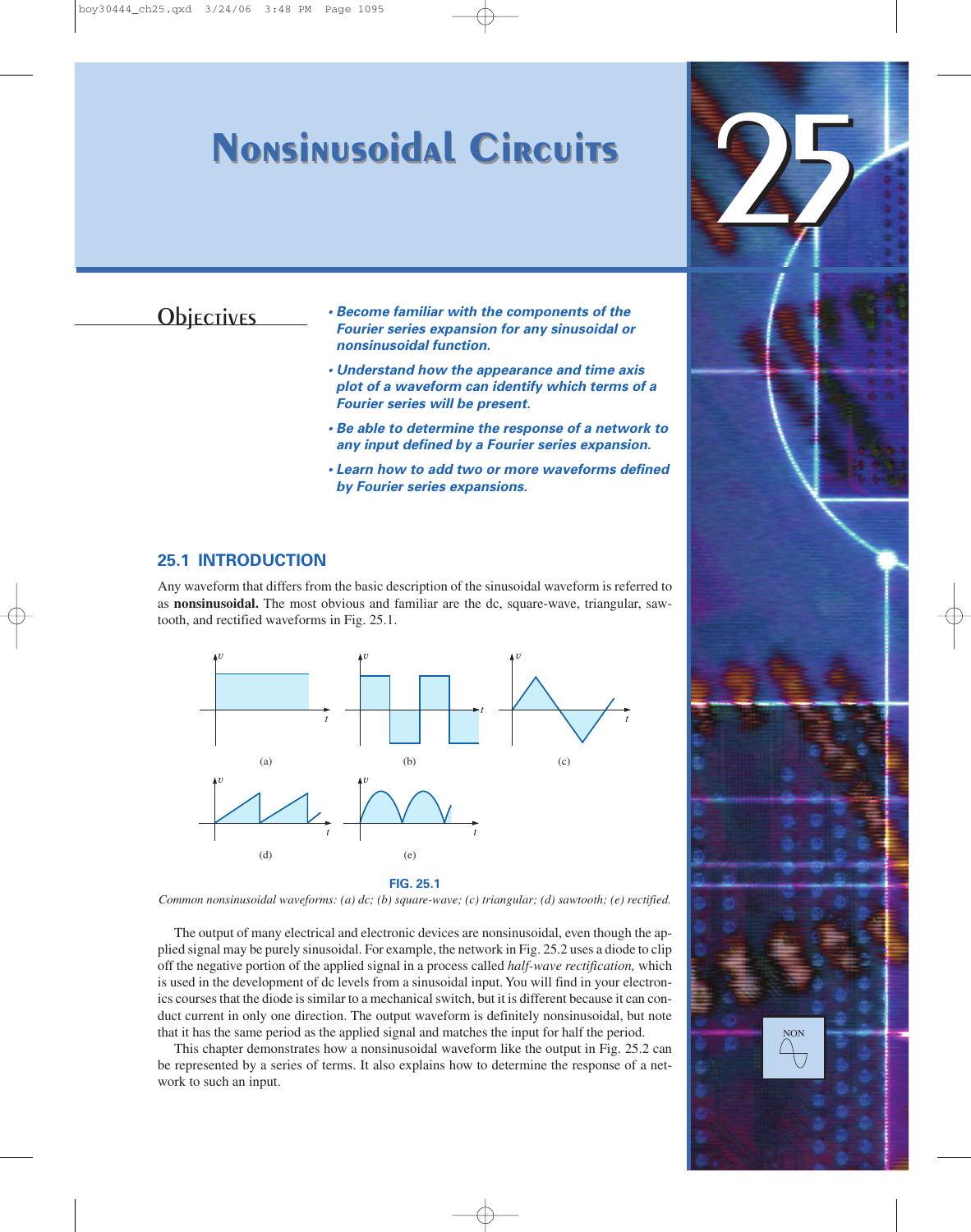# **Nonsinusoidal Circuits**

# **Objectives**

- *Become familiar with the components of the Fourier series expansion for any sinusoidal or nonsinusoidal function.*
- *Understand how the appearance and time axis plot of a waveform can identify which terms of a Fourier series will be present.*
- *Be able to determine the response of a network to any input defined by a Fourier series expansion.*
- *Learn how to add two or more waveforms defined by Fourier series expansions.*

## **25.1 INTRODUCTION**

Any waveform that differs from the basic description of the sinusoidal waveform is referred to as **nonsinusoidal.** The most obvious and familiar are the dc, square-wave, triangular, sawtooth, and rectified waveforms in Fig. 25.1.



*Common nonsinusoidal waveforms: (a) dc; (b) square-wave; (c) triangular; (d) sawtooth; (e) rectified.*

The output of many electrical and electronic devices are nonsinusoidal, even though the applied signal may be purely sinusoidal. For example, the network in Fig. 25.2 uses a diode to clip off the negative portion of the applied signal in a process called *half-wave rectification,* which is used in the development of dc levels from a sinusoidal input. You will find in your electronics courses that the diode is similar to a mechanical switch, but it is different because it can conduct current in only one direction. The output waveform is definitely nonsinusoidal, but note that it has the same period as the applied signal and matches the input for half the period.

This chapter demonstrates how a nonsinusoidal waveform like the output in Fig. 25.2 can be represented by a series of terms. It also explains how to determine the response of a network to such an input.

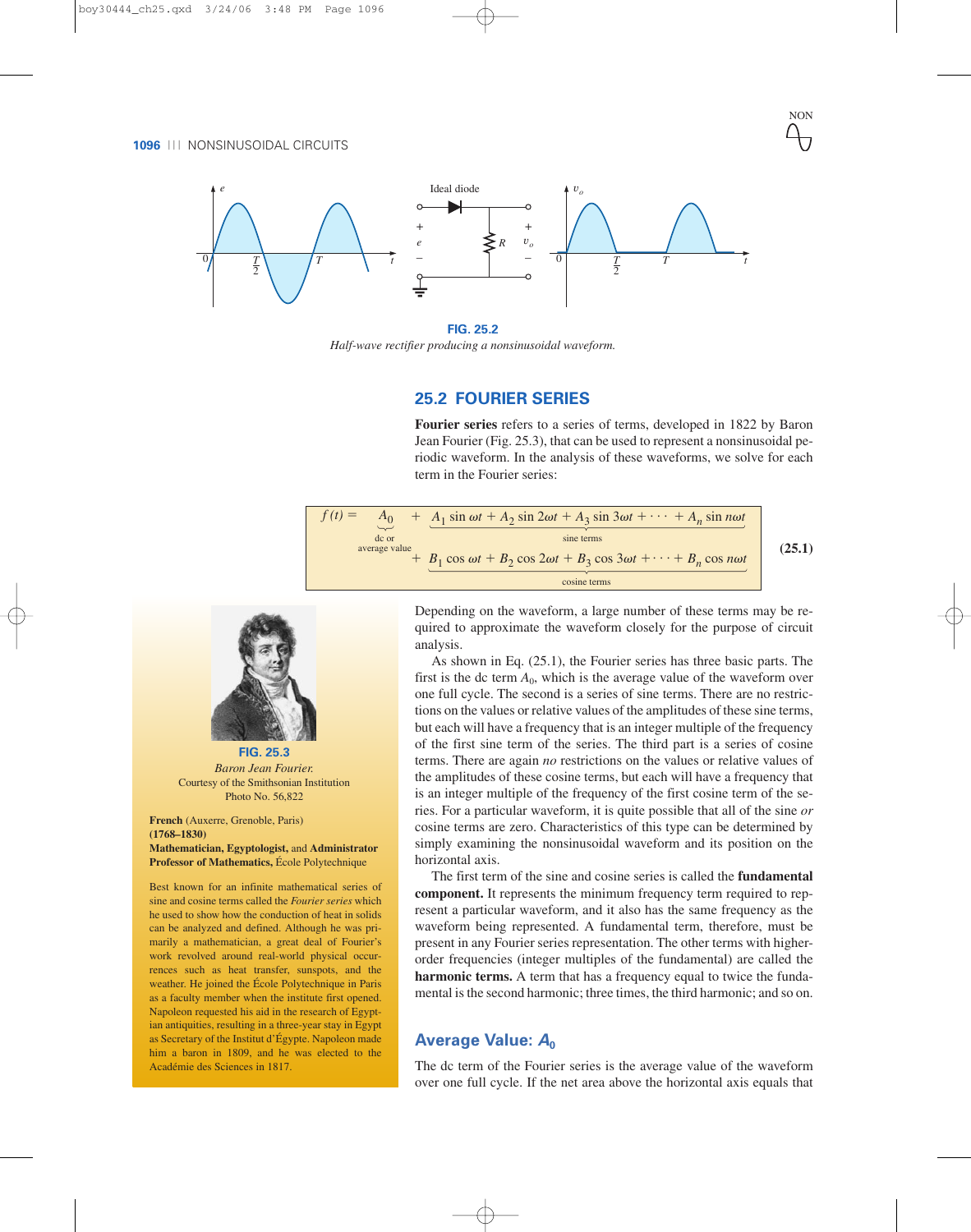

#### **FIG. 25.2**

*Half-wave rectifier producing a nonsinusoidal waveform.*

## **25.2 FOURIER SERIES**

**Fourier series** refers to a series of terms, developed in 1822 by Baron Jean Fourier (Fig. 25.3), that can be used to represent a nonsinusoidal periodic waveform. In the analysis of these waveforms, we solve for each term in the Fourier series:





**FIG. 25.3** *Baron Jean Fourier.* Courtesy of the Smithsonian Institution Photo No. 56,822

**French** (Auxerre, Grenoble, Paris) **(1768–1830) Mathematician, Egyptologist,** and **Administrator Professor of Mathematics,** École Polytechnique

Best known for an infinite mathematical series of sine and cosine terms called the *Fourier series* which he used to show how the conduction of heat in solids can be analyzed and defined. Although he was primarily a mathematician, a great deal of Fourier's work revolved around real-world physical occurrences such as heat transfer, sunspots, and the weather. He joined the École Polytechnique in Paris as a faculty member when the institute first opened. Napoleon requested his aid in the research of Egyptian antiquities, resulting in a three-year stay in Egypt as Secretary of the Institut d'Égypte. Napoleon made him a baron in 1809, and he was elected to the Académie des Sciences in 1817.

Depending on the waveform, a large number of these terms may be required to approximate the waveform closely for the purpose of circuit analysis.

As shown in Eq. (25.1), the Fourier series has three basic parts. The first is the dc term  $A_0$ , which is the average value of the waveform over one full cycle. The second is a series of sine terms. There are no restrictions on the values or relative values of the amplitudes of these sine terms, but each will have a frequency that is an integer multiple of the frequency of the first sine term of the series. The third part is a series of cosine terms. There are again *no* restrictions on the values or relative values of the amplitudes of these cosine terms, but each will have a frequency that is an integer multiple of the frequency of the first cosine term of the series. For a particular waveform, it is quite possible that all of the sine *or* cosine terms are zero. Characteristics of this type can be determined by simply examining the nonsinusoidal waveform and its position on the horizontal axis.

The first term of the sine and cosine series is called the **fundamental component.** It represents the minimum frequency term required to represent a particular waveform, and it also has the same frequency as the waveform being represented. A fundamental term, therefore, must be present in any Fourier series representation. The other terms with higherorder frequencies (integer multiples of the fundamental) are called the **harmonic terms.** A term that has a frequency equal to twice the fundamental is the second harmonic; three times, the third harmonic; and so on.

## **Average Value: A**<sub>0</sub>

The dc term of the Fourier series is the average value of the waveform over one full cycle. If the net area above the horizontal axis equals that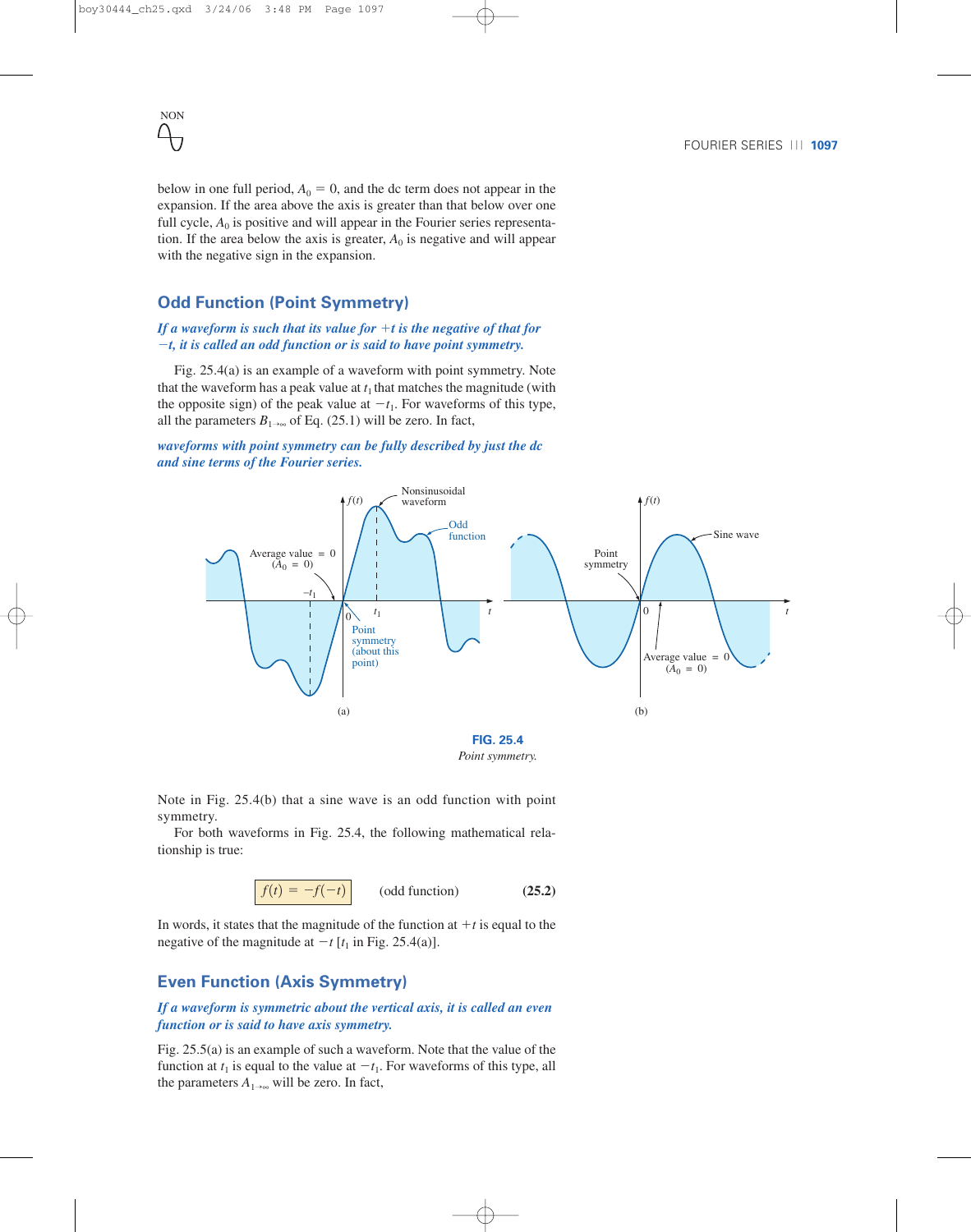below in one full period,  $A_0 = 0$ , and the dc term does not appear in the expansion. If the area above the axis is greater than that below over one full cycle,  $A_0$  is positive and will appear in the Fourier series representation. If the area below the axis is greater,  $A_0$  is negative and will appear with the negative sign in the expansion.

## **Odd Function (Point Symmetry)**

#### *If a waveform is such that its value for t is the negative of that for t, it is called an odd function or is said to have point symmetry.*

Fig. 25.4(a) is an example of a waveform with point symmetry. Note that the waveform has a peak value at  $t_1$  that matches the magnitude (with the opposite sign) of the peak value at  $-t_1$ . For waveforms of this type, all the parameters  $B_{1\rightarrow\infty}$  of Eq. (25.1) will be zero. In fact,

#### *waveforms with point symmetry can be fully described by just the dc and sine terms of the Fourier series.*



*Point symmetry.*

Note in Fig. 25.4(b) that a sine wave is an odd function with point symmetry.

For both waveforms in Fig. 25.4, the following mathematical relationship is true:

$$
f(t) = -f(-t)
$$
 (odd function) (25.2)

In words, it states that the magnitude of the function at  $+t$  is equal to the negative of the magnitude at  $-t$  [ $t_1$  in Fig. 25.4(a)].

## **Even Function (Axis Symmetry)**

#### *If a waveform is symmetric about the vertical axis, it is called an even function or is said to have axis symmetry.*

Fig. 25.5(a) is an example of such a waveform. Note that the value of the function at  $t_1$  is equal to the value at  $-t_1$ . For waveforms of this type, all the parameters  $A_{1\rightarrow\infty}$  will be zero. In fact,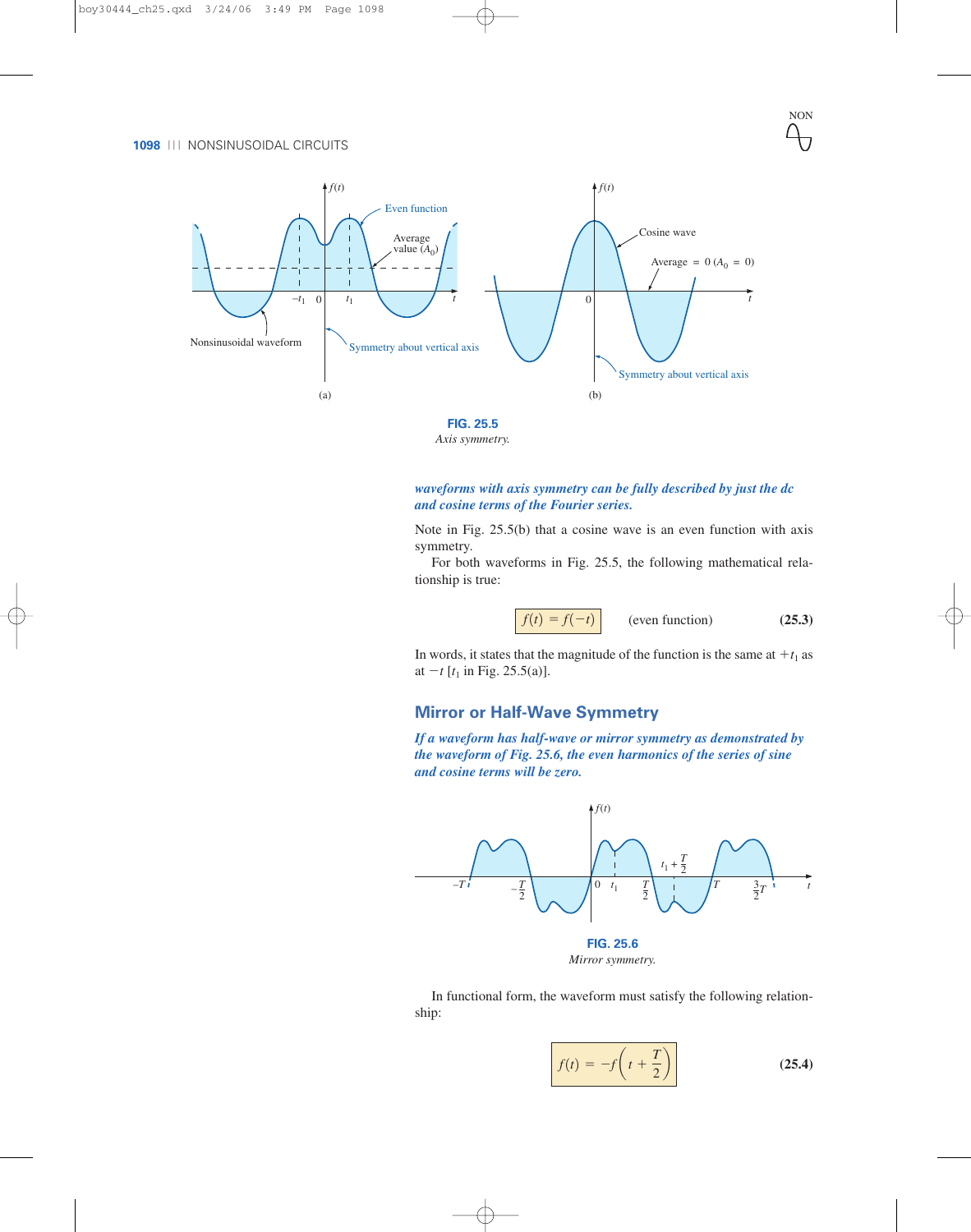

*Axis symmetry.*

#### *waveforms with axis symmetry can be fully described by just the dc and cosine terms of the Fourier series.*

Note in Fig. 25.5(b) that a cosine wave is an even function with axis symmetry.

For both waveforms in Fig. 25.5, the following mathematical relationship is true:



(even function) **(25.3)**

In words, it states that the magnitude of the function is the same at  $+t_1$  as at  $-t$  [ $t_1$  in Fig. 25.5(a)].

## **Mirror or Half-Wave Symmetry**

*If a waveform has half-wave or mirror symmetry as demonstrated by the waveform of Fig. 25.6, the even harmonics of the series of sine and cosine terms will be zero.*



In functional form, the waveform must satisfy the following relationship:

$$
f(t) = -f\left(t + \frac{T}{2}\right)
$$
 (25.4)

NON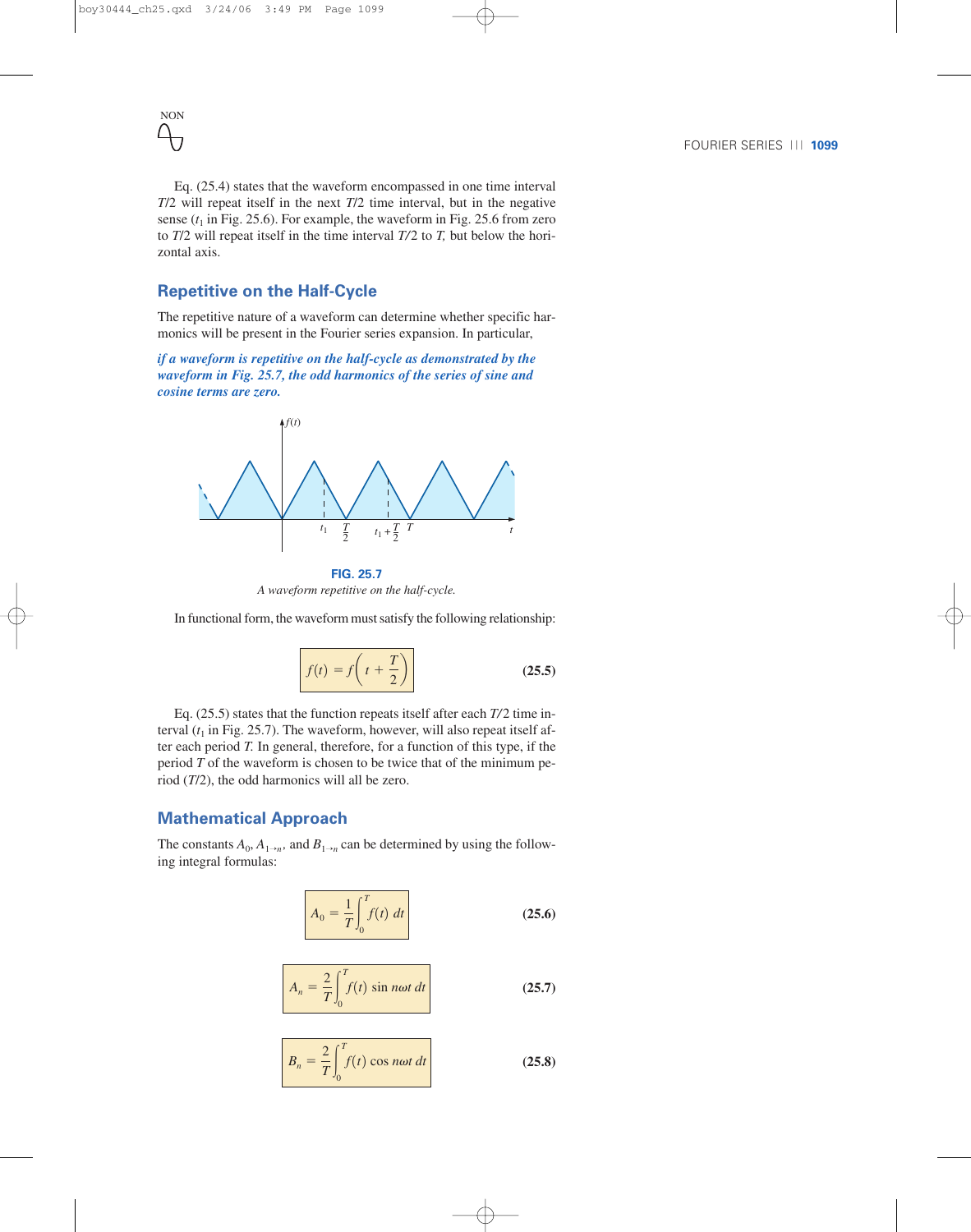Eq. (25.4) states that the waveform encompassed in one time interval *T*/2 will repeat itself in the next *T*/2 time interval, but in the negative sense  $(t_1$  in Fig. 25.6). For example, the waveform in Fig. 25.6 from zero to *T*/2 will repeat itself in the time interval *T/*2 to *T,* but below the horizontal axis.

## **Repetitive on the Half-Cycle**

The repetitive nature of a waveform can determine whether specific harmonics will be present in the Fourier series expansion. In particular,

*if a waveform is repetitive on the half-cycle as demonstrated by the waveform in Fig. 25.7, the odd harmonics of the series of sine and cosine terms are zero.*



*A waveform repetitive on the half-cycle.*

In functional form, the waveform must satisfy the following relationship:

$$
f(t) = f\left(t + \frac{T}{2}\right)
$$
 (25.5)

Eq. (25.5) states that the function repeats itself after each *T/*2 time interval  $(t_1$  in Fig. 25.7). The waveform, however, will also repeat itself after each period *T.* In general, therefore, for a function of this type, if the period *T* of the waveform is chosen to be twice that of the minimum period (*T*/2), the odd harmonics will all be zero.

## **Mathematical Approach**

The constants  $A_0$ ,  $A_1 \rightarrow n$ , and  $B_1 \rightarrow n$  can be determined by using the following integral formulas:

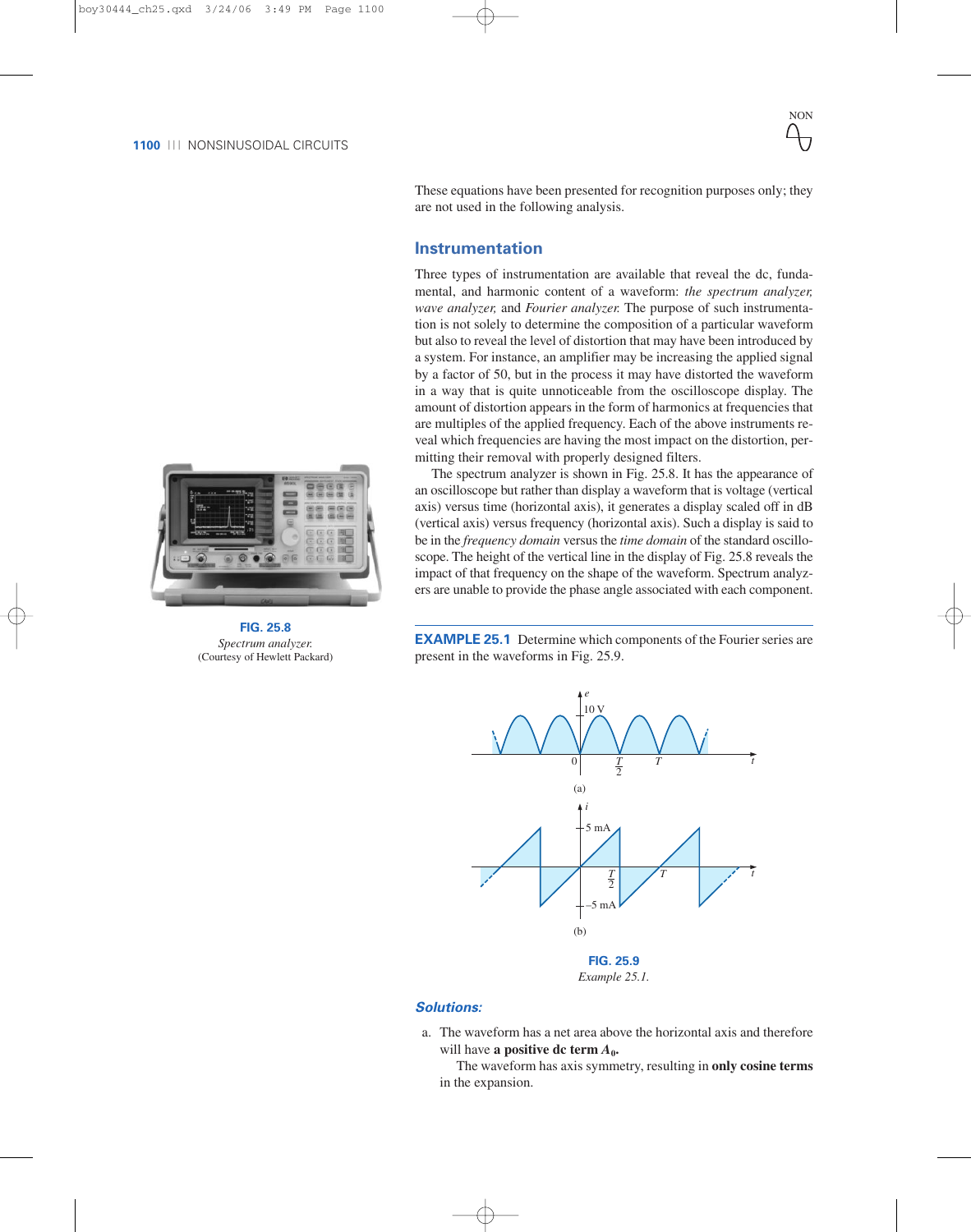

These equations have been presented for recognition purposes only; they are not used in the following analysis.

### **Instrumentation**

Three types of instrumentation are available that reveal the dc, fundamental, and harmonic content of a waveform: *the spectrum analyzer, wave analyzer,* and *Fourier analyzer.* The purpose of such instrumentation is not solely to determine the composition of a particular waveform but also to reveal the level of distortion that may have been introduced by a system. For instance, an amplifier may be increasing the applied signal by a factor of 50, but in the process it may have distorted the waveform in a way that is quite unnoticeable from the oscilloscope display. The amount of distortion appears in the form of harmonics at frequencies that are multiples of the applied frequency. Each of the above instruments reveal which frequencies are having the most impact on the distortion, permitting their removal with properly designed filters.

The spectrum analyzer is shown in Fig. 25.8. It has the appearance of an oscilloscope but rather than display a waveform that is voltage (vertical axis) versus time (horizontal axis), it generates a display scaled off in dB (vertical axis) versus frequency (horizontal axis). Such a display is said to be in the *frequency domain* versus the *time domain* of the standard oscilloscope. The height of the vertical line in the display of Fig. 25.8 reveals the impact of that frequency on the shape of the waveform. Spectrum analyzers are unable to provide the phase angle associated with each component.

**EXAMPLE 25.1** Determine which components of the Fourier series are present in the waveforms in Fig. 25.9.



*Example 25.1.*

## *Solutions:*

a. The waveform has a net area above the horizontal axis and therefore will have **a positive dc term**  $A_0$ **.** 

The waveform has axis symmetry, resulting in **only cosine terms** in the expansion.



**FIG. 25.8** *Spectrum analyzer.* (Courtesy of Hewlett Packard)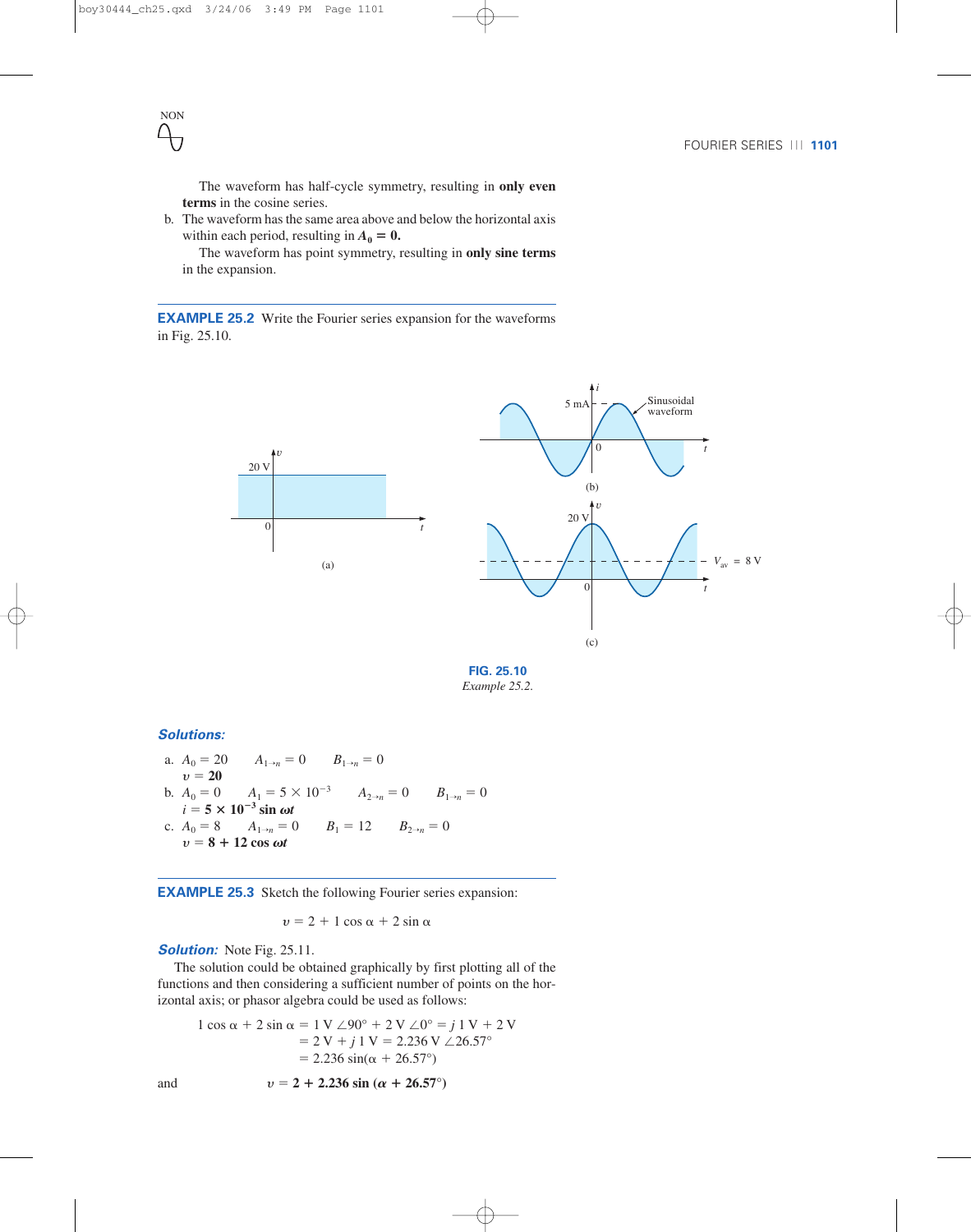The waveform has half-cycle symmetry, resulting in **only even terms** in the cosine series.

b. The waveform has the same area above and below the horizontal axis within each period, resulting in  $A_0 = 0$ .

The waveform has point symmetry, resulting in **only sine terms** in the expansion.

**EXAMPLE 25.2** Write the Fourier series expansion for the waveforms in Fig. 25.10.



**FIG. 25.10** *Example 25.2.*

#### *Solutions:*

NON

a. 
$$
A_0 = 20
$$
  $A_{1\to n} = 0$   $B_{1\to n} = 0$   
\n $v = 20$   
\nb.  $A_0 = 0$   $A_1 = 5 \times 10^{-3}$   $A_{2\to n} = 0$   $B_{1\to n} = 0$   
\n $i = 5 \times 10^{-3} \sin \omega t$   
\nc.  $A_0 = 8$   $A_{1\to n} = 0$   $B_1 = 12$   $B_{2\to n} = 0$   
\n $v = 8 + 12 \cos \omega t$ 

**EXAMPLE 25.3** Sketch the following Fourier series expansion:

 $v = 2 + 1 \cos \alpha + 2 \sin \alpha$ 

#### **Solution:** Note Fig. 25.11.

The solution could be obtained graphically by first plotting all of the functions and then considering a sufficient number of points on the horizontal axis; or phasor algebra could be used as follows:

1 cos α + 2 sin α = 1 V ∠90° + 2 V ∠0° = 
$$
j
$$
 1 V + 2 V  
= 2 V +  $j$  1 V = 2.236 V ∠26.57°  
= 2.236 sin(α + 26.57°)

and  $v = 2 + 2.236 \sin (\alpha + 26.57^{\circ})$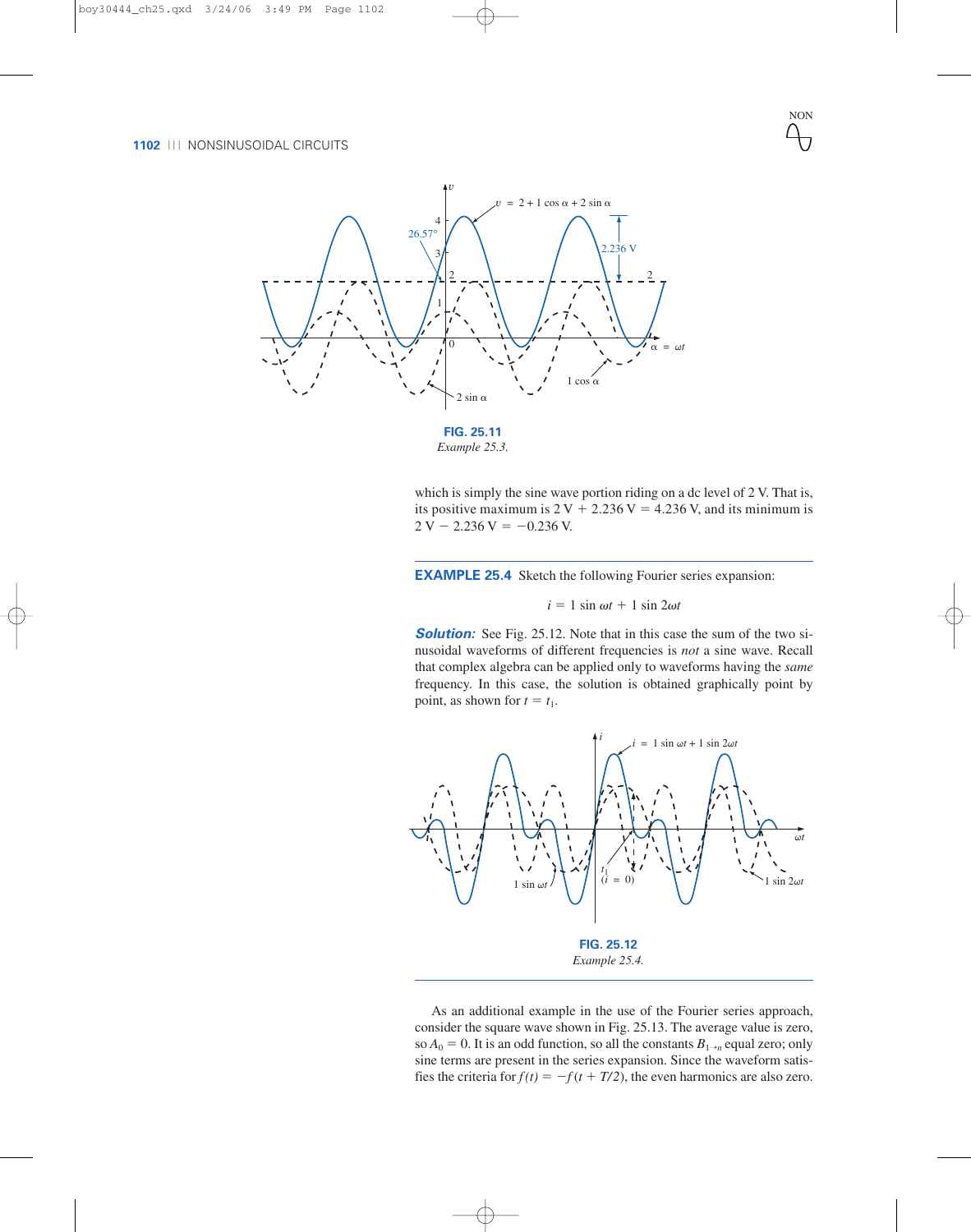



which is simply the sine wave portion riding on a dc level of 2 V. That is, its positive maximum is  $2V + 2.236V = 4.236V$ , and its minimum is  $2 V - 2.236 V = -0.236 V$ .

**EXAMPLE 25.4** Sketch the following Fourier series expansion:

 $i = 1 \sin \omega t + 1 \sin 2\omega t$ 

**Solution:** See Fig. 25.12. Note that in this case the sum of the two sinusoidal waveforms of different frequencies is *not* a sine wave. Recall that complex algebra can be applied only to waveforms having the *same* frequency. In this case, the solution is obtained graphically point by point, as shown for  $t = t_1$ .



As an additional example in the use of the Fourier series approach, consider the square wave shown in Fig. 25.13. The average value is zero, so  $A_0 = 0$ . It is an odd function, so all the constants  $B_{1\rightarrow n}$  equal zero; only sine terms are present in the series expansion. Since the waveform satisfies the criteria for  $f(t) = -f(t + T/2)$ , the even harmonics are also zero.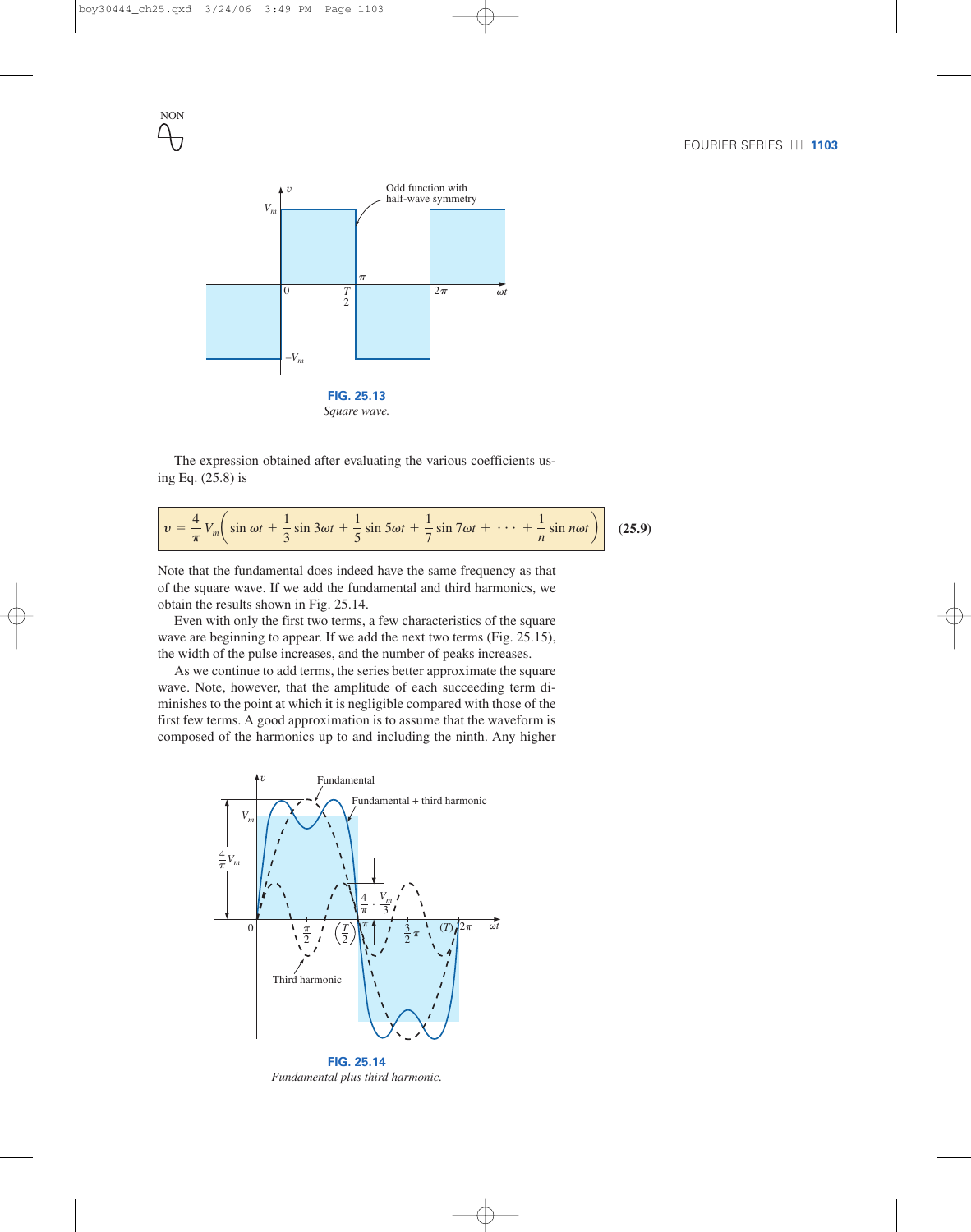

The expression obtained after evaluating the various coefficients using Eq. (25.8) is

$$
v = \frac{4}{\pi} V_m \left( \sin \omega t + \frac{1}{3} \sin 3\omega t + \frac{1}{5} \sin 5\omega t + \frac{1}{7} \sin 7\omega t + \cdots + \frac{1}{n} \sin n\omega t \right)
$$
 (25.9)

Note that the fundamental does indeed have the same frequency as that of the square wave. If we add the fundamental and third harmonics, we obtain the results shown in Fig. 25.14.

Even with only the first two terms, a few characteristics of the square wave are beginning to appear. If we add the next two terms (Fig. 25.15), the width of the pulse increases, and the number of peaks increases.

As we continue to add terms, the series better approximate the square wave. Note, however, that the amplitude of each succeeding term diminishes to the point at which it is negligible compared with those of the first few terms. A good approximation is to assume that the waveform is composed of the harmonics up to and including the ninth. Any higher



**FIG. 25.14** *Fundamental plus third harmonic.*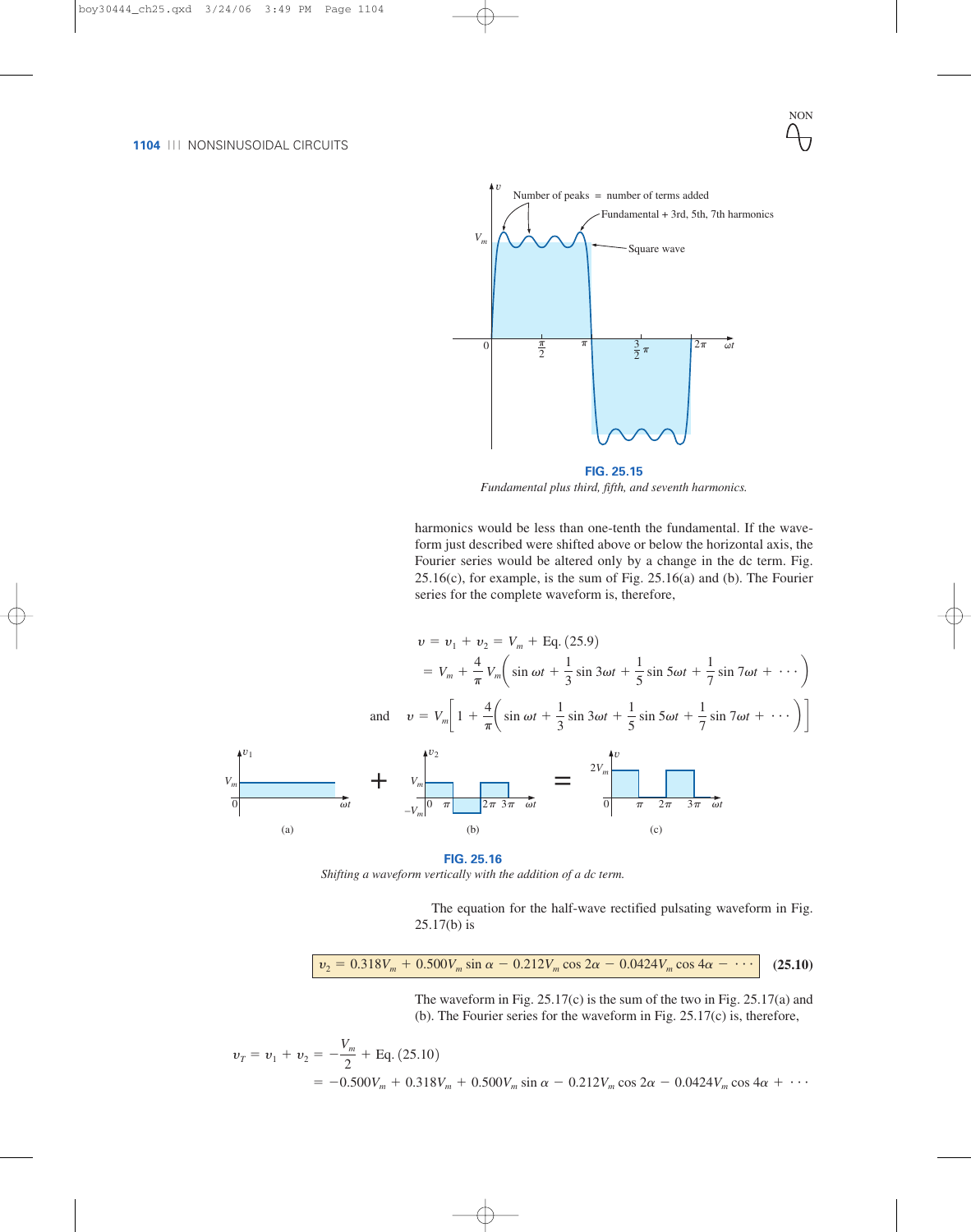

**FIG. 25.15** *Fundamental plus third, fifth, and seventh harmonics.*

harmonics would be less than one-tenth the fundamental. If the waveform just described were shifted above or below the horizontal axis, the Fourier series would be altered only by a change in the dc term. Fig. 25.16(c), for example, is the sum of Fig. 25.16(a) and (b). The Fourier series for the complete waveform is, therefore,



#### **FIG. 25.16**

*Shifting a waveform vertically with the addition of a dc term.*

The equation for the half-wave rectified pulsating waveform in Fig. 25.17(b) is

 $v_2 = 0.318V_m + 0.500V_m \sin \alpha - 0.212V_m \cos 2\alpha - 0.0424V_m \cos 4\alpha - \cdots$  (25.10)

The waveform in Fig. 25.17(c) is the sum of the two in Fig. 25.17(a) and (b). The Fourier series for the waveform in Fig. 25.17(c) is, therefore,

$$
v_T = v_1 + v_2 = -\frac{V_m}{2} + \text{Eq. (25.10)}
$$
  
= -0.500V<sub>m</sub> + 0.318V<sub>m</sub> + 0.500V<sub>m</sub> sin  $\alpha$  - 0.212V<sub>m</sub> cos 2 $\alpha$  - 0.0424V<sub>m</sub> cos 4 $\alpha$  + ...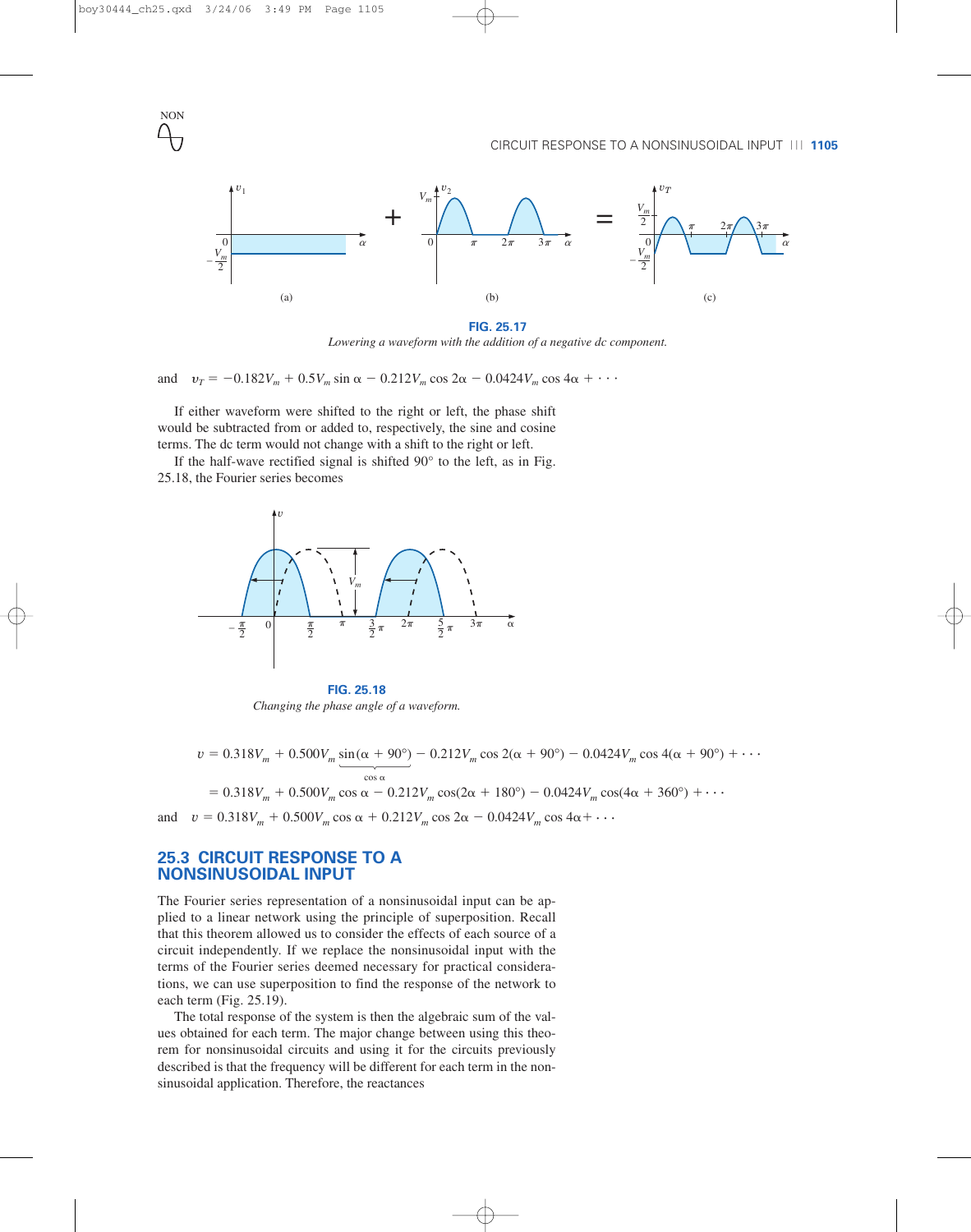

**FIG. 25.17**

*Lowering a waveform with the addition of a negative dc component.*

and  $v_T = -0.182V_m + 0.5V_m \sin \alpha - 0.212V_m \cos 2\alpha - 0.0424V_m \cos 4\alpha + \cdots$ 

If either waveform were shifted to the right or left, the phase shift would be subtracted from or added to, respectively, the sine and cosine terms. The dc term would not change with a shift to the right or left.

If the half-wave rectified signal is shifted 90° to the left, as in Fig. 25.18, the Fourier series becomes



**FIG. 25.18** *Changing the phase angle of a waveform.*

$$
v = 0.318V_m + 0.500V_m \underbrace{\sin(\alpha + 90^\circ)}_{\cos \alpha} - 0.212V_m \cos 2(\alpha + 90^\circ) - 0.0424V_m \cos 4(\alpha + 90^\circ) + \cdots
$$
  
= 0.318V\_m + 0.500V\_m \cos \alpha - 0.212V\_m \cos(2\alpha + 180^\circ) - 0.0424V\_m \cos(4\alpha + 360^\circ) + \cdots

and  $v = 0.318V_m + 0.500V_m \cos \alpha + 0.212V_m \cos 2\alpha - 0.0424V_m \cos 4\alpha + \cdots$ 

## **25.3 CIRCUIT RESPONSE TO A NONSINUSOIDAL INPUT**

The Fourier series representation of a nonsinusoidal input can be applied to a linear network using the principle of superposition. Recall that this theorem allowed us to consider the effects of each source of a circuit independently. If we replace the nonsinusoidal input with the terms of the Fourier series deemed necessary for practical considerations, we can use superposition to find the response of the network to each term (Fig. 25.19).

The total response of the system is then the algebraic sum of the values obtained for each term. The major change between using this theorem for nonsinusoidal circuits and using it for the circuits previously described is that the frequency will be different for each term in the nonsinusoidal application. Therefore, the reactances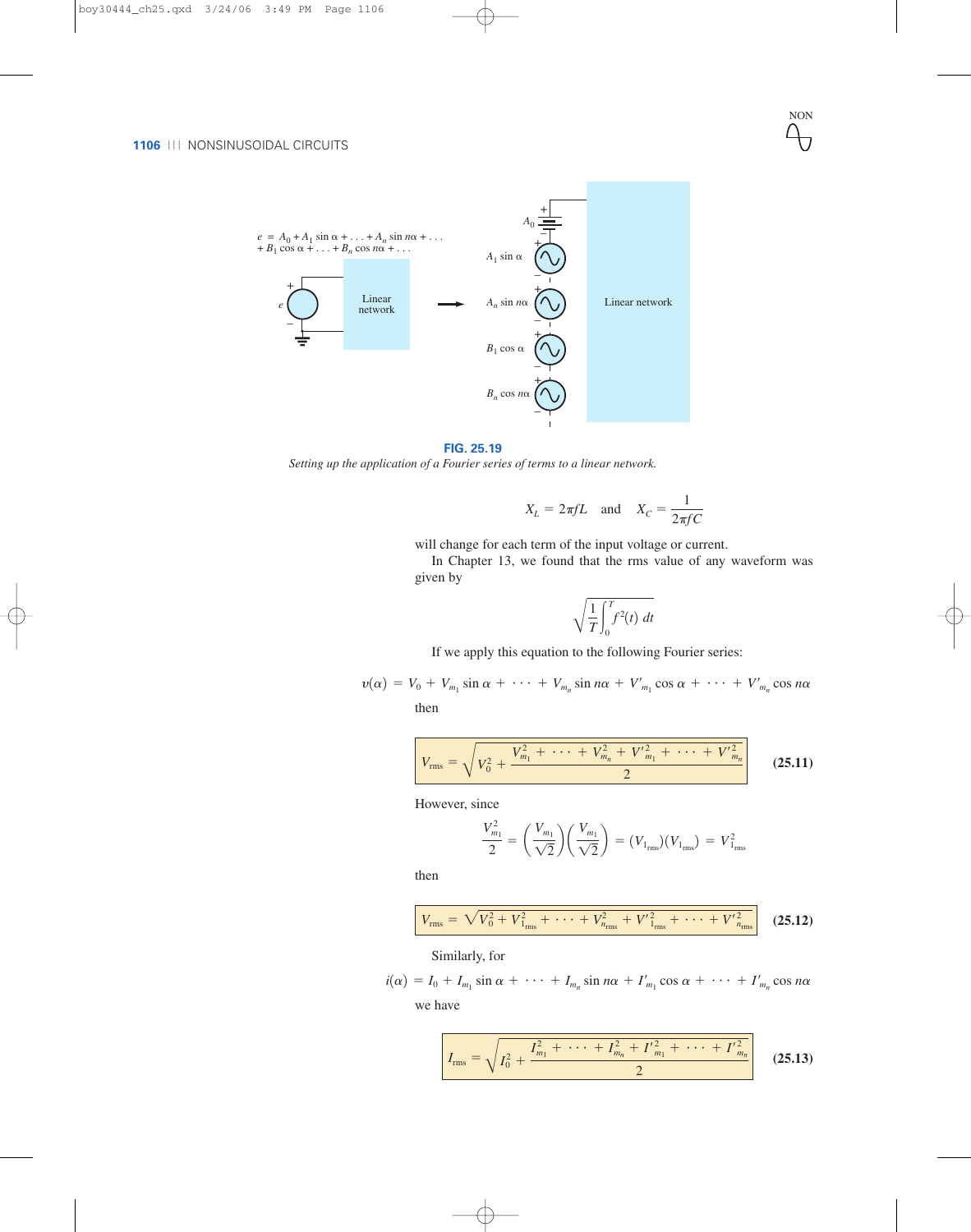

#### **FIG. 25.19**

*Setting up the application of a Fourier series of terms to a linear network.*

$$
X_L = 2\pi fL \quad \text{and} \quad X_C = \frac{1}{2\pi fC}
$$

will change for each term of the input voltage or current.

In Chapter 13, we found that the rms value of any waveform was given by

$$
\sqrt{\frac{1}{T} \int_0^T f^2(t) \, dt}
$$

If we apply this equation to the following Fourier series:

$$
v(\alpha) = V_0 + V_{m_1} \sin \alpha + \cdots + V_{m_n} \sin n\alpha + V'_{m_1} \cos \alpha + \cdots + V'_{m_n} \cos n\alpha
$$
  
then

$$
V_{\text{rms}} = \sqrt{V_0^2 + \frac{V_{m_1}^2 + \dots + V_{m_n}^2 + V_{m_1}^2 + \dots + V_{m_n}^2}{2}}
$$
 (25.11)

However, since

$$
\frac{V_{m_1}^2}{2} = \left(\frac{V_{m_1}}{\sqrt{2}}\right) \left(\frac{V_{m_1}}{\sqrt{2}}\right) = (V_{1_{\text{rms}}})(V_{1_{\text{rms}}}) = V_{1_{\text{rms}}}^2
$$

then

$$
V_{\text{rms}} = \sqrt{V_0^2 + V_{1_{\text{rms}}}^2 + \cdots + V_{n_{\text{rms}}}^2 + V_{1_{\text{rms}}}^2 + \cdots + V_{n_{\text{rms}}}^2}
$$
 (25.12)

Similarly, for

 $i(\alpha) = I_0 + I_{m_1} \sin \alpha + \cdots + I_{m_n} \sin n\alpha + I'_{m_1} \cos \alpha + \cdots + I'_{m_n} \cos n\alpha$ we have

$$
I_{\text{rms}} = \sqrt{I_0^2 + \frac{I_{m_1}^2 + \cdots + I_{m_n}^2 + I_{m_1}^2 + \cdots + I_{m_n}^2}{2}}
$$
 (25.13)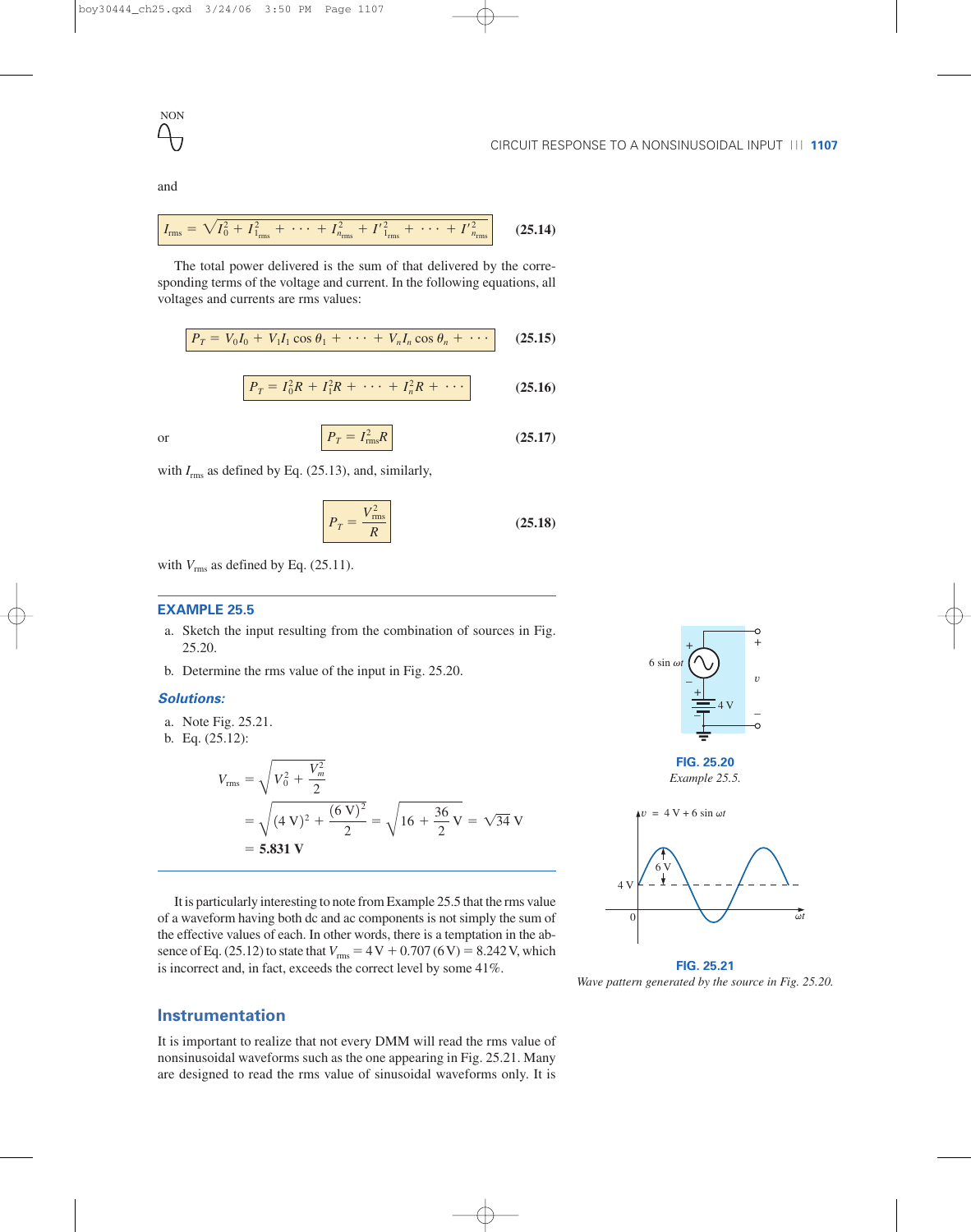$$
\bigoplus_{i=1}^{NON}
$$

and

$$
I_{\rm rms} = \sqrt{I_0^2 + I_{\rm 1_{rms}}^2 + \cdots + I_{n_{\rm rms}}^2 + I_{\rm 1_{rms}}^2 + \cdots + I_{n_{\rm rms}}^2}
$$
 (25.14)

The total power delivered is the sum of that delivered by the corresponding terms of the voltage and current. In the following equations, all voltages and currents are rms values:

$$
P_T = V_0 I_0 + V_1 I_1 \cos \theta_1 + \dots + V_n I_n \cos \theta_n + \dots
$$
 (25.15)  

$$
P_T = I_0^2 R + I_1^2 R + \dots + I_n^2 R + \dots
$$
 (25.16)

or  $P_T = I_{\text{rms}}^2 R$  (25.17)

with  $I_{\text{rms}}$  as defined by Eq. (25.13), and, similarly,

$$
P_T = \frac{V_{\text{rms}}^2}{R}
$$
 (25.18)

with  $V_{\text{rms}}$  as defined by Eq. (25.11).

#### **EXAMPLE 25.5**

- a. Sketch the input resulting from the combination of sources in Fig. 25.20.
- b. Determine the rms value of the input in Fig. 25.20.

#### *Solutions:*

- a. Note Fig. 25.21.
- b. Eq. (25.12):

$$
V_{\text{rms}} = \sqrt{V_0^2 + \frac{V_m^2}{2}}
$$
  
=  $\sqrt{(4 \text{ V})^2 + \frac{(6 \text{ V})^2}{2}} = \sqrt{16 + \frac{36}{2} \text{ V}} = \sqrt{34} \text{ V}$   
= **5.831 V**

It is particularly interesting to note from Example 25.5 that the rms value of a waveform having both dc and ac components is not simply the sum of the effective values of each. In other words, there is a temptation in the absence of Eq. (25.12) to state that  $V_{\text{rms}} = 4 \text{ V} + 0.707 \text{ (6 V)} = 8.242 \text{ V}$ , which is incorrect and, in fact, exceeds the correct level by some 41%.

#### **Instrumentation**

It is important to realize that not every DMM will read the rms value of nonsinusoidal waveforms such as the one appearing in Fig. 25.21. Many are designed to read the rms value of sinusoidal waveforms only. It is



**FIG. 25.20** *Example 25.5.*



**FIG. 25.21** *Wave pattern generated by the source in Fig. 25.20.*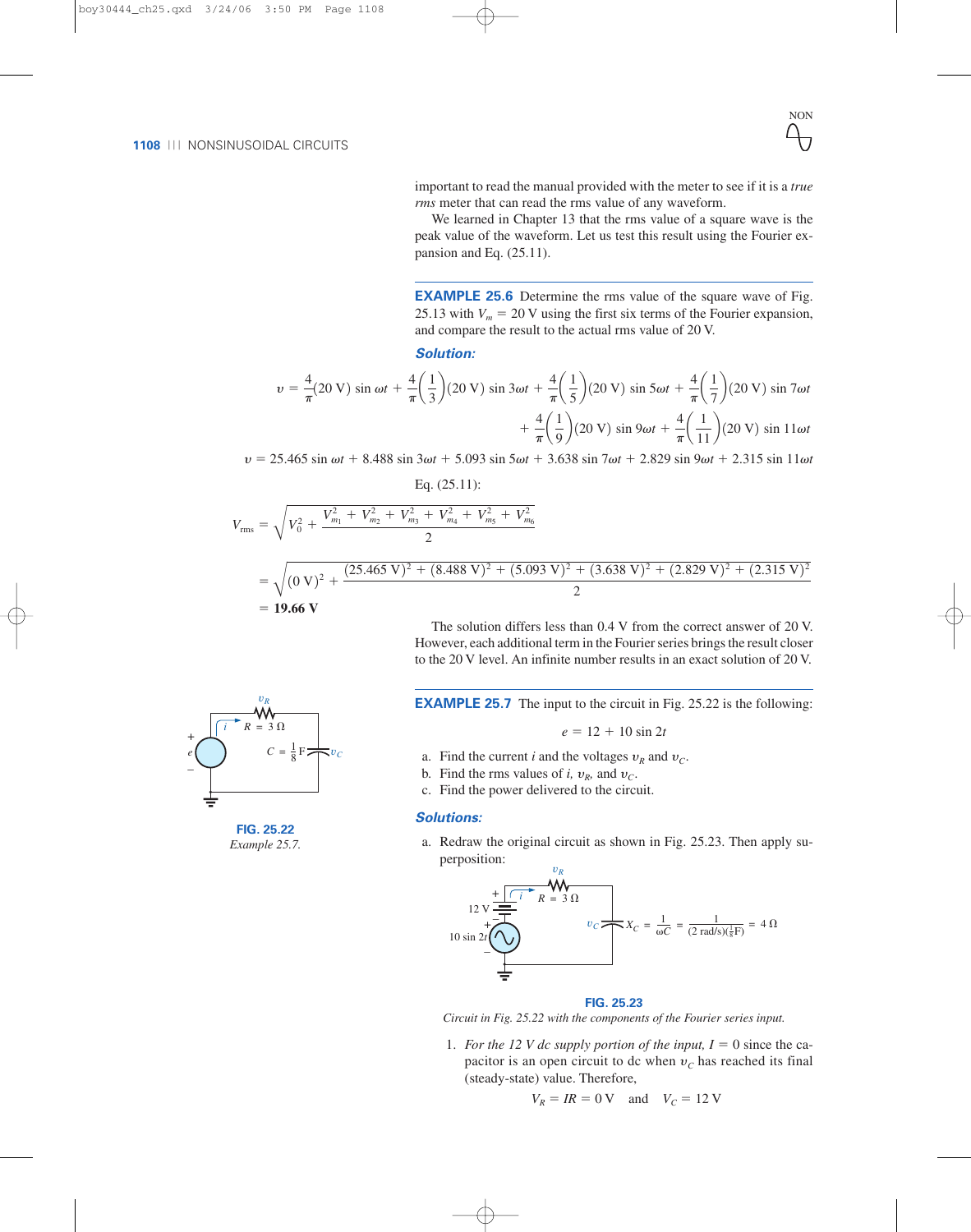important to read the manual provided with the meter to see if it is a *true rms* meter that can read the rms value of any waveform.

We learned in Chapter 13 that the rms value of a square wave is the peak value of the waveform. Let us test this result using the Fourier expansion and Eq. (25.11).

**EXAMPLE 25.6** Determine the rms value of the square wave of Fig. 25.13 with  $V_m = 20$  V using the first six terms of the Fourier expansion, and compare the result to the actual rms value of 20 V.

#### *Solution:*

$$
v = \frac{4}{\pi} (20 \text{ V}) \sin \omega t + \frac{4}{\pi} \left(\frac{1}{3}\right) (20 \text{ V}) \sin 3\omega t + \frac{4}{\pi} \left(\frac{1}{5}\right) (20 \text{ V}) \sin 5\omega t + \frac{4}{\pi} \left(\frac{1}{7}\right) (20 \text{ V}) \sin 7\omega t + \frac{4}{\pi} \left(\frac{1}{9}\right) (20 \text{ V}) \sin 9\omega t + \frac{4}{\pi} \left(\frac{1}{11}\right) (20 \text{ V}) \sin 11\omega t
$$

 $v = 25.465 \sin \omega t + 8.488 \sin 3\omega t + 5.093 \sin 5\omega t + 3.638 \sin 7\omega t + 2.829 \sin 9\omega t + 2.315 \sin 11\omega t$ 

Eq. 
$$
(25.11)
$$
:

$$
V_{\text{rms}} = \sqrt{V_0^2 + \frac{V_{m_1}^2 + V_{m_2}^2 + V_{m_3}^2 + V_{m_4}^2 + V_{m_5}^2 + V_{m_6}^2}{2}}
$$
  
=  $\sqrt{(0 \text{ V})^2 + \frac{(25.465 \text{ V})^2 + (8.488 \text{ V})^2 + (5.093 \text{ V})^2 + (3.638 \text{ V})^2 + (2.829 \text{ V})^2 + (2.315 \text{ V})^2}{2}}$   
= **19.66 V**

The solution differs less than 0.4 V from the correct answer of 20 V. However, each additional term in the Fourier series brings the result closer to the 20 V level. An infinite number results in an exact solution of 20 V.

**EXAMPLE 25.7** The input to the circuit in Fig. 25.22 is the following:

$$
e=12+10\sin 2t
$$

- a. Find the current *i* and the voltages  $v_R$  and  $v_C$ .
- b. Find the rms values of *i*,  $v_R$ , and  $v_C$ .
- c. Find the power delivered to the circuit.

#### *Solutions:*

a. Redraw the original circuit as shown in Fig. 25.23. Then apply superposition:



#### **FIG. 25.23**

*Circuit in Fig. 25.22 with the components of the Fourier series input.*

1. *For the 12 V dc supply portion of the input, I* = 0 since the capacitor is an open circuit to dc when  $v_c$  has reached its final (steady-state) value. Therefore,

$$
V_R = IR = 0 \text{ V} \quad \text{and} \quad V_C = 12 \text{ V}
$$



**FIG. 25.22** *Example 25.7.*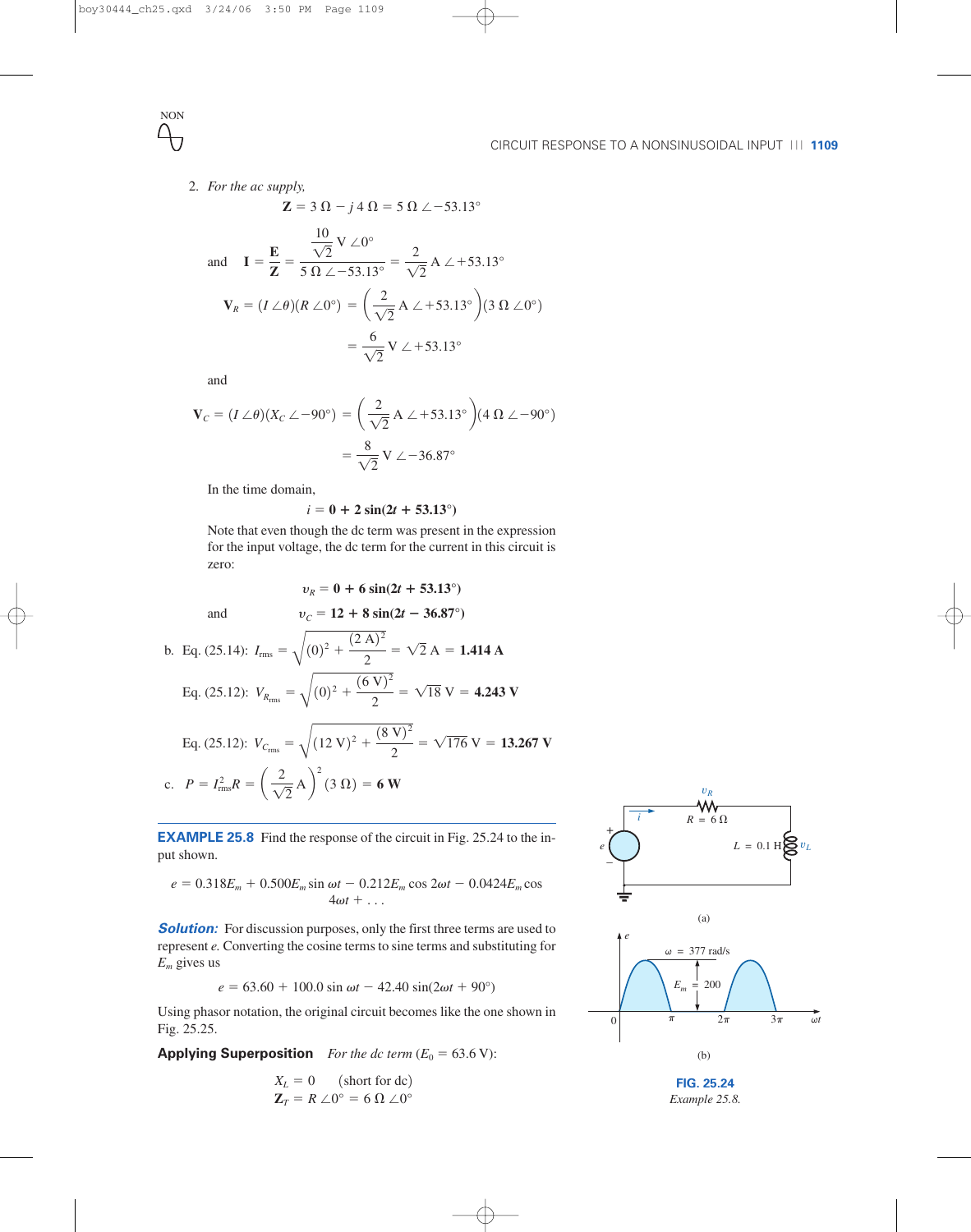2. *For the ac supply,*

$$
\mathbf{Z} = 3 \Omega - j \cdot 4 \Omega = 5 \Omega \angle -53.13^{\circ}
$$

 $\overline{10}$ 

and 
$$
\mathbf{I} = \frac{\mathbf{E}}{\mathbf{Z}} = \frac{\frac{10}{\sqrt{2}}V \angle 0^{\circ}}{5 \Omega \angle -53.13^{\circ}} = \frac{2}{\sqrt{2}} A \angle +53.13^{\circ}
$$
  

$$
\mathbf{V}_R = (I \angle \theta)(R \angle 0^{\circ}) = \left(\frac{2}{\sqrt{2}} A \angle +53.13^{\circ}\right)(3 \Omega \angle 0^{\circ})
$$

$$
= \frac{6}{\sqrt{2}} V \angle +53.13^{\circ}
$$

and

$$
\mathbf{V}_C = (I \angle \theta)(X_C \angle -90^\circ) = \left(\frac{2}{\sqrt{2}} A \angle +53.13^\circ\right) (4 \Omega \angle -90^\circ)
$$

$$
= \frac{8}{\sqrt{2}} \mathbf{V} \angle -36.87^\circ
$$

In the time domain,

$$
i = 0 + 2\sin(2t + 53.13^{\circ})
$$

Note that even though the dc term was present in the expression for the input voltage, the dc term for the current in this circuit is zero:

and  $v_C$ 

$$
v_R = 0 + 6\sin(2t + 53.13^\circ)
$$
  

$$
v_C = 12 + 8\sin(2t - 36.87^\circ)
$$

b. Eq. (25.14): 
$$
I_{\text{rms}} = \sqrt{(0)^2 + \frac{(2 \text{ A})^2}{2}} = \sqrt{2} \text{ A} = 1.414 \text{ A}
$$
  
Eq. (25.12):  $V_{R_{\text{rms}}} = \sqrt{(0)^2 + \frac{(6 \text{ V})^2}{2}} = \sqrt{18} \text{ V} = 4.243 \text{ V}$ 

Eq. (25.12): 
$$
V_{C_{\text{rms}}} = \sqrt{(12 \text{ V})^2 + \frac{(8 \text{ V})^2}{2}} = \sqrt{176} \text{ V} = 13.267 \text{ V}
$$
  
c.  $P = I_{\text{rms}}^2 R = \left(\frac{2}{\sqrt{2}} \text{ A}\right)^2 (3 \Omega) = 6 \text{ W}$ 

**EXAMPLE 25.8** Find the response of the circuit in Fig. 25.24 to the input shown.

$$
e = 0.318E_m + 0.500E_m \sin \omega t - 0.212E_m \cos 2\omega t - 0.0424E_m \cos 4\omega t + ...
$$

**Solution:** For discussion purposes, only the first three terms are used to represent *e.* Converting the cosine terms to sine terms and substituting for *Em* gives us

$$
e = 63.60 + 100.0 \sin \omega t - 42.40 \sin(2\omega t + 90^\circ)
$$

Using phasor notation, the original circuit becomes like the one shown in Fig. 25.25.

**Applying Superposition** *For the dc term*  $(E_0 = 63.6 \text{ V})$ :

$$
X_L = 0 \quad \text{(short for dc)}
$$
  

$$
\mathbf{Z}_T = R \angle 0^\circ = 6 \Omega \angle 0^\circ
$$



**FIG. 25.24** *Example 25.8.*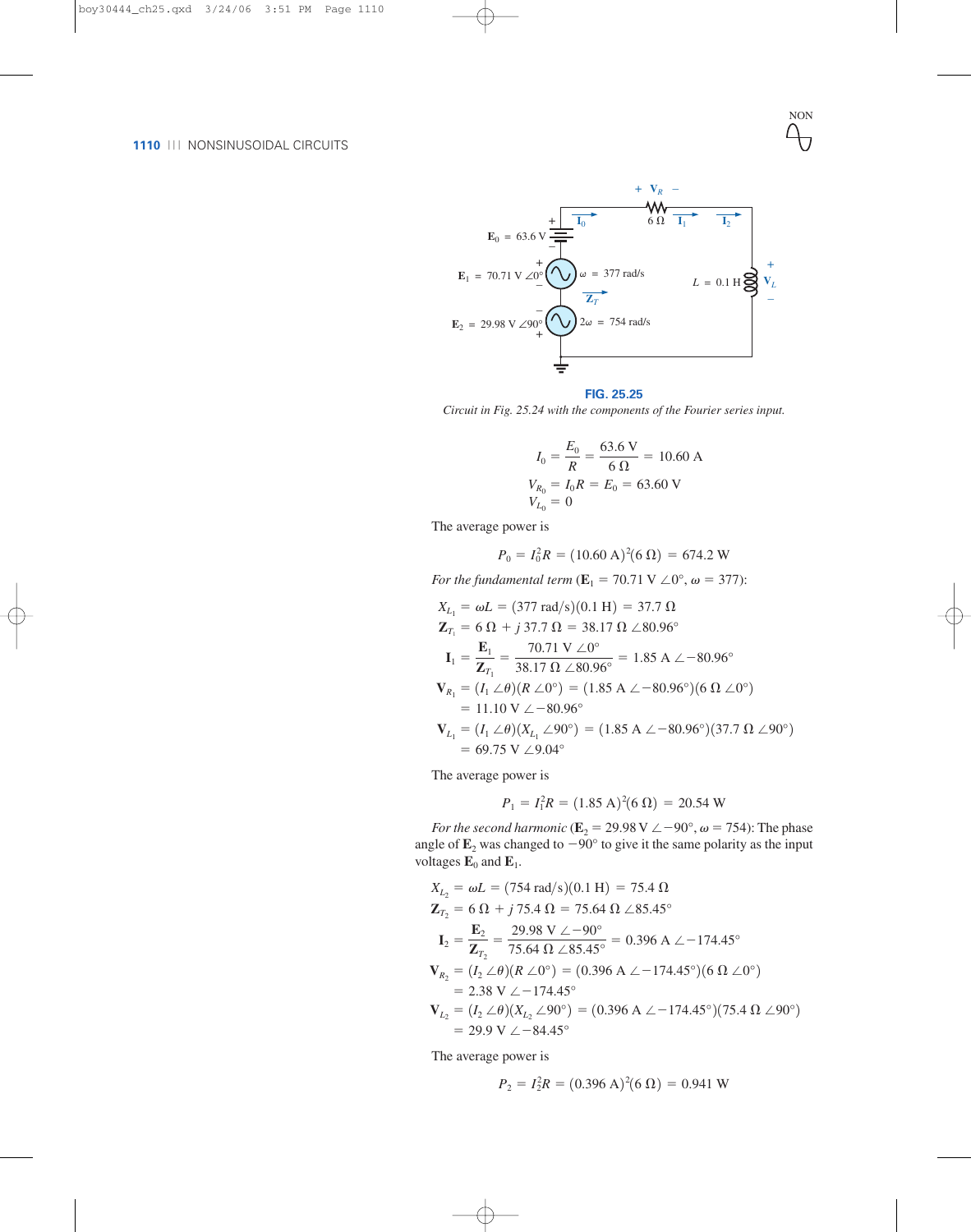

#### **FIG. 25.25**

*Circuit in Fig. 25.24 with the components of the Fourier series input.*

$$
I_0 = \frac{E_0}{R} = \frac{63.6 \text{ V}}{6 \Omega} = 10.60 \text{ A}
$$
  

$$
V_{R_0} = I_0 R = E_0 = 63.60 \text{ V}
$$
  

$$
V_{L_0} = 0
$$

The average power is

$$
P_0 = I_0^2 R = (10.60 \text{ A})^2 (6 \Omega) = 674.2 \text{ W}
$$

*For the fundamental term* ( $\mathbf{E}_1 = 70.71$  V  $\angle 0^{\circ}$ ,  $\omega = 377$ ):

$$
X_{L_1} = \omega L = (377 \text{ rad/s})(0.1 \text{ H}) = 37.7 \Omega
$$
  
\n
$$
\mathbf{Z}_{T_1} = 6 \Omega + j 37.7 \Omega = 38.17 \Omega \angle 80.96^{\circ}
$$
  
\n
$$
\mathbf{I}_1 = \frac{\mathbf{E}_1}{\mathbf{Z}_{T_1}} = \frac{70.71 \text{ V} \angle 0^{\circ}}{38.17 \Omega \angle 80.96^{\circ}} = 1.85 \text{ A } \angle -80.96^{\circ}
$$
  
\n
$$
\mathbf{V}_{R_1} = (I_1 \angle \theta)(R \angle 0^{\circ}) = (1.85 \text{ A } \angle -80.96^{\circ})(6 \Omega \angle 0^{\circ})
$$
  
\n
$$
= 11.10 \text{ V } \angle -80.96^{\circ}
$$
  
\n
$$
\mathbf{V}_{L_1} = (I_1 \angle \theta)(X_{L_1} \angle 90^{\circ}) = (1.85 \text{ A } \angle -80.96^{\circ})(37.7 \Omega \angle 90^{\circ})
$$
  
\n
$$
= 69.75 \text{ V } \angle 9.04^{\circ}
$$

The average power is

$$
P_1 = I_1^2 R = (1.85 \text{ A})^2 (6 \Omega) = 20.54 \text{ W}
$$

*For the second harmonic* ( $\mathbf{E}_2 = 29.98 \text{ V } \angle -90^\circ$ ,  $\omega = 754$ ): The phase angle of  $\mathbf{E}_2$  was changed to  $-90^\circ$  to give it the same polarity as the input voltages  $\mathbf{E}_0$  and  $\mathbf{E}_1$ .

$$
X_{L_2} = \omega L = (754 \text{ rad/s})(0.1 \text{ H}) = 75.4 \Omega
$$
  
\n
$$
\mathbf{Z}_{T_2} = 6 \Omega + j 75.4 \Omega = 75.64 \Omega \angle 85.45^{\circ}
$$
  
\n
$$
\mathbf{I}_2 = \frac{\mathbf{E}_2}{\mathbf{Z}_{T_2}} = \frac{29.98 \text{ V } \angle -90^{\circ}}{75.64 \Omega \angle 85.45^{\circ}} = 0.396 \text{ A } \angle -174.45^{\circ}
$$
  
\n
$$
\mathbf{V}_{R_2} = (I_2 \angle \theta)(R \angle 0^{\circ}) = (0.396 \text{ A } \angle -174.45^{\circ})(6 \Omega \angle 0^{\circ})
$$
  
\n
$$
= 2.38 \text{ V } \angle -174.45^{\circ}
$$
  
\n
$$
\mathbf{V}_{L_2} = (I_2 \angle \theta)(X_{L_2} \angle 90^{\circ}) = (0.396 \text{ A } \angle -174.45^{\circ})(75.4 \Omega \angle 90^{\circ})
$$
  
\n
$$
= 29.9 \text{ V } \angle -84.45^{\circ}
$$

The average power is

$$
P_2 = I_2^2 R = (0.396 \text{ A})^2 (6 \Omega) = 0.941 \text{ W}
$$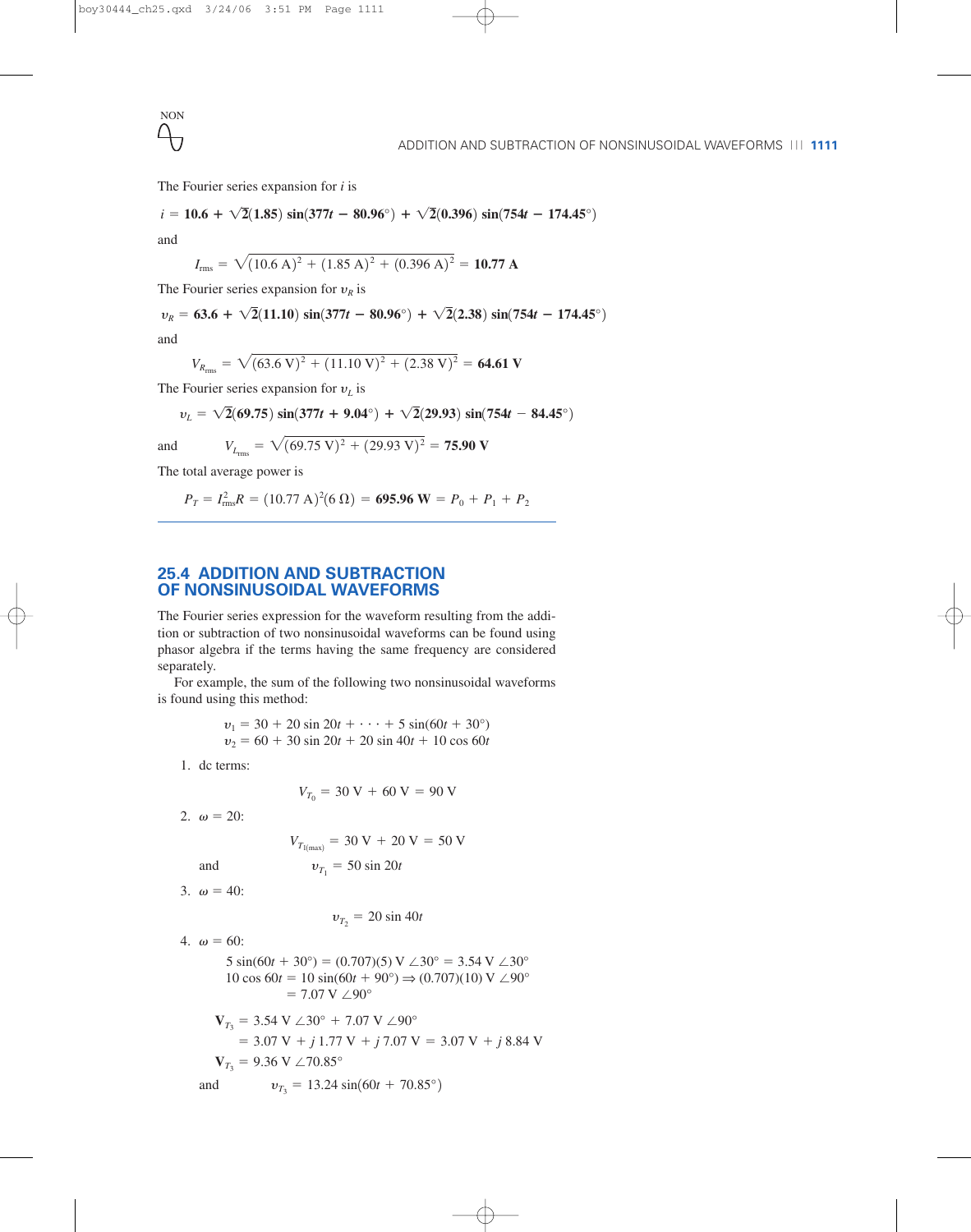The Fourier series expansion for *i* is

$$
i = 10.6 + \sqrt{2}(1.85) \sin(377t - 80.96^\circ) + \sqrt{2}(0.396) \sin(754t - 174.45^\circ)
$$
  
and

$$
I_{\text{rms}} = \sqrt{(10.6 \text{ A})^2 + (1.85 \text{ A})^2 + (0.396 \text{ A})^2} = 10.77 \text{ A}
$$

The Fourier series expansion for  $v_R$  is

 $v_R = 63.6 + \sqrt{2}(11.10) \sin(377t - 80.96^\circ) + \sqrt{2}(2.38) \sin(754t - 174.45^\circ)$ and

$$
V_{R_{\text{rms}}} = \sqrt{(63.6 \text{ V})^2 + (11.10 \text{ V})^2 + (2.38 \text{ V})^2} = 64.61 \text{ V}
$$

The Fourier series expansion for  $v_L$  is

$$
v_L = \sqrt{2}(69.75) \sin(377t + 9.04^{\circ}) + \sqrt{2}(29.93) \sin(754t - 84.45^{\circ})
$$

and

$$
V_{L_{\rm rms}} = \sqrt{(69.75 \text{ V})^2 + (29.93 \text{ V})^2} = 75.90 \text{ V}
$$

The total average power is

$$
P_T = I_{\text{rms}}^2 R = (10.77 \text{ A})^2 (6 \Omega) = 695.96 \text{ W} = P_0 + P_1 + P_2
$$

## **25.4 ADDITION AND SUBTRACTION OF NONSINUSOIDAL WAVEFORMS**

The Fourier series expression for the waveform resulting from the addition or subtraction of two nonsinusoidal waveforms can be found using phasor algebra if the terms having the same frequency are considered separately.

For example, the sum of the following two nonsinusoidal waveforms is found using this method:

$$
v_1 = 30 + 20 \sin 20t + \cdots + 5 \sin(60t + 30^{\circ})
$$
  

$$
v_2 = 60 + 30 \sin 20t + 20 \sin 40t + 10 \cos 60t
$$

1. dc terms:

$$
V_{T_0} = 30 \text{ V} + 60 \text{ V} = 90 \text{ V}
$$

2.  $\omega = 20$ :

 $V_{T_{1(\text{max})}}$  = 30 V + 20 V = 50 V

and

$$
v_{T_1}=50\sin 20t
$$

$$
3. \ \omega = 40:
$$

$$
v_{T_2}=20\sin 40t
$$

4. 
$$
\omega = 60
$$
:

 $5 \sin(60t + 30^{\circ}) = (0.707)(5) \text{ V } \angle 30^{\circ} = 3.54 \text{ V } \angle 30^{\circ}$  $10 \cos 60t = 10 \sin(60t + 90^{\circ}) \Rightarrow (0.707)(10) \text{ V } \angle 90^{\circ}$  $= 7.07$  V  $\angle 90^{\circ}$ 

$$
\mathbf{V}_{T_3} = 3.54 \text{ V } \angle 30^\circ + 7.07 \text{ V } \angle 90^\circ
$$
  
= 3.07 \text{ V } + j 1.77 \text{ V } + j 7.07 \text{ V } = 3.07 \text{ V } + j 8.84 \text{ V}  

$$
\mathbf{V}_{T_3} = 9.36 \text{ V } \angle 70.85^\circ
$$
  
and 
$$
v_{T_3} = 13.24 \sin(60t + 70.85^\circ)
$$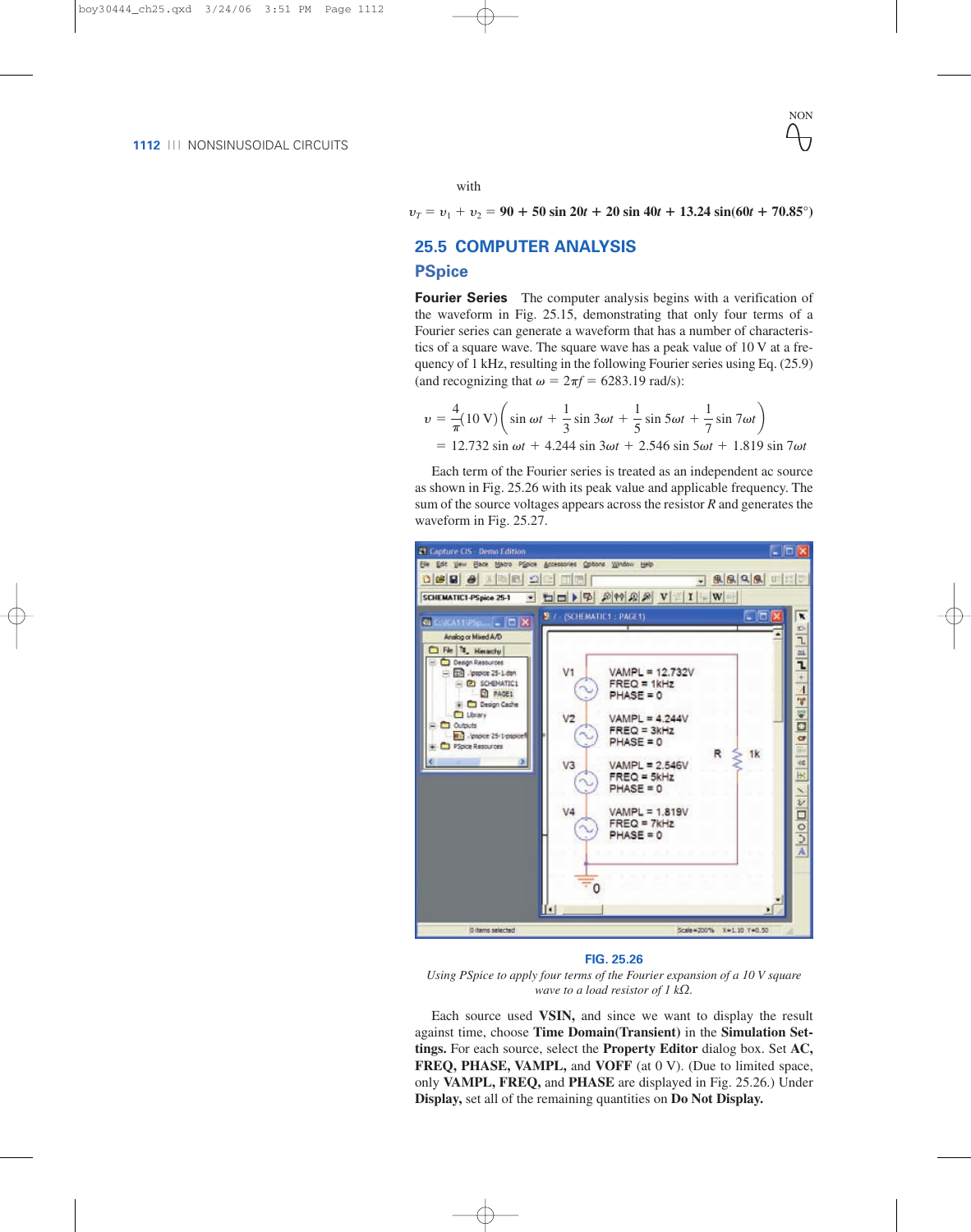with

 $v_T = v_1 + v_2 = 90 + 50 \sin 20t + 20 \sin 40t + 13.24 \sin(60t + 70.85^\circ)$ 

## **25.5 COMPUTER ANALYSIS**

## **PSpice**

**Fourier Series** The computer analysis begins with a verification of the waveform in Fig. 25.15, demonstrating that only four terms of a Fourier series can generate a waveform that has a number of characteristics of a square wave. The square wave has a peak value of 10 V at a frequency of 1 kHz, resulting in the following Fourier series using Eq. (25.9) (and recognizing that  $\omega = 2\pi f = 6283.19$  rad/s):

$$
v = \frac{4}{\pi} (10 \text{ V}) \left( \sin \omega t + \frac{1}{3} \sin 3\omega t + \frac{1}{5} \sin 5\omega t + \frac{1}{7} \sin 7\omega t \right)
$$
  
= 12.732 sin \omega t + 4.244 sin 3\omega t + 2.546 sin 5\omega t + 1.819 sin 7\omega t

Each term of the Fourier series is treated as an independent ac source as shown in Fig. 25.26 with its peak value and applicable frequency. The sum of the source voltages appears across the resistor *R* and generates the waveform in Fig. 25.27.



#### **FIG. 25.26**

*Using PSpice to apply four terms of the Fourier expansion of a 10 V square wave to a load resistor of 1 kΩ.*

Each source used **VSIN,** and since we want to display the result against time, choose **Time Domain(Transient)** in the **Simulation Settings.** For each source, select the **Property Editor** dialog box. Set **AC, FREQ, PHASE, VAMPL,** and **VOFF** (at 0 V). (Due to limited space, only **VAMPL, FREQ,** and **PHASE** are displayed in Fig. 25.26.) Under **Display,** set all of the remaining quantities on **Do Not Display.**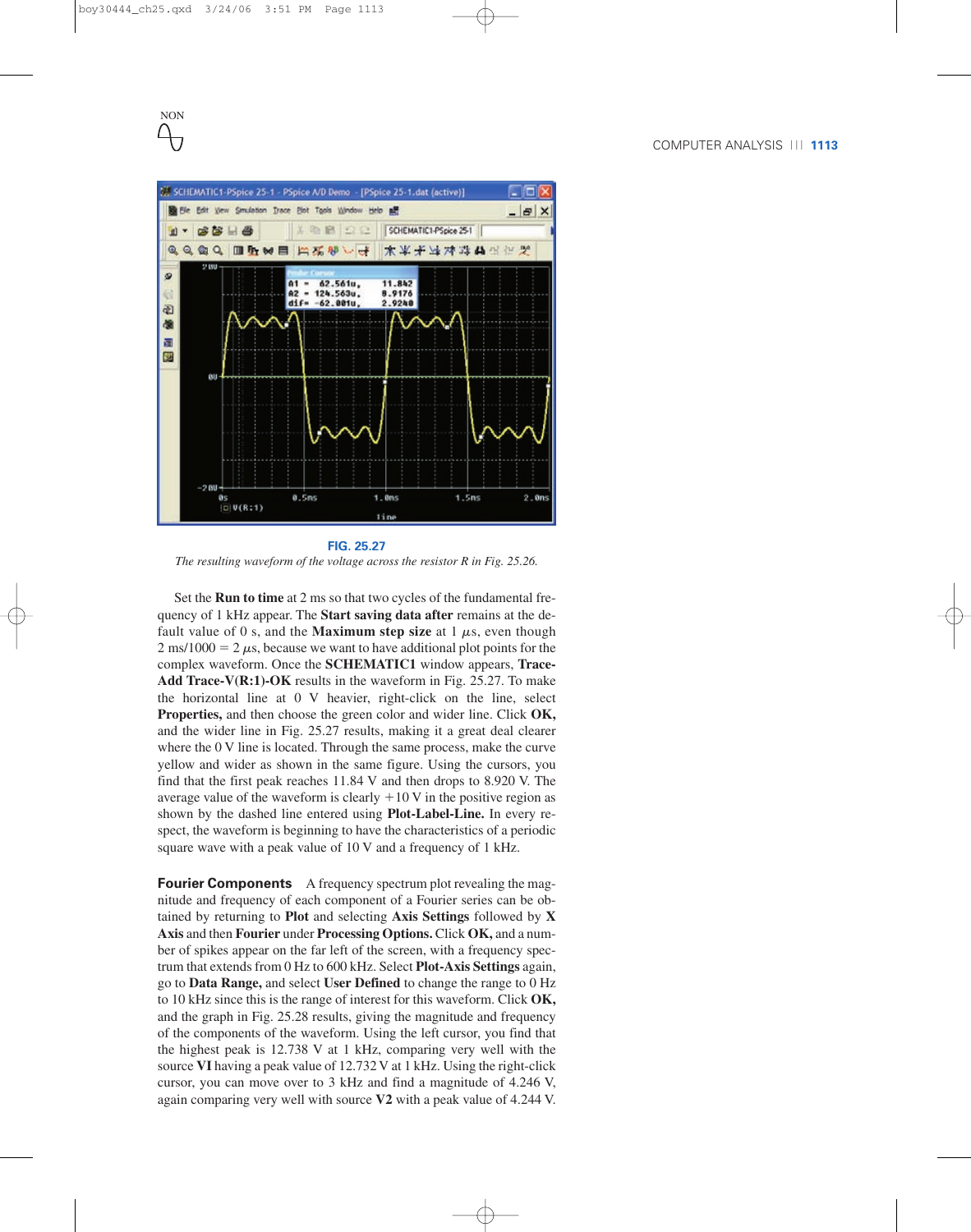



**FIG. 25.27** *The resulting waveform of the voltage across the resistor R in Fig. 25.26.*

Set the **Run to time** at 2 ms so that two cycles of the fundamental frequency of 1 kHz appear. The **Start saving data after** remains at the default value of 0 s, and the **Maximum step size** at 1  $\mu$ s, even though  $2 \text{ ms}/1000 = 2 \mu s$ , because we want to have additional plot points for the complex waveform. Once the **SCHEMATIC1** window appears, **Trace-Add Trace-V(R:1)-OK** results in the waveform in Fig. 25.27. To make the horizontal line at 0 V heavier, right-click on the line, select **Properties,** and then choose the green color and wider line. Click **OK,** and the wider line in Fig. 25.27 results, making it a great deal clearer where the 0 V line is located. Through the same process, make the curve yellow and wider as shown in the same figure. Using the cursors, you find that the first peak reaches 11.84 V and then drops to 8.920 V. The average value of the waveform is clearly  $+10$  V in the positive region as shown by the dashed line entered using **Plot-Label-Line.** In every respect, the waveform is beginning to have the characteristics of a periodic square wave with a peak value of 10 V and a frequency of 1 kHz.

**Fourier Components** A frequency spectrum plot revealing the magnitude and frequency of each component of a Fourier series can be obtained by returning to **Plot** and selecting **Axis Settings** followed by **X Axis** and then **Fourier** under **Processing Options.** Click **OK,** and a number of spikes appear on the far left of the screen, with a frequency spectrum that extends from 0 Hz to 600 kHz. Select **Plot-Axis Settings** again, go to **Data Range,** and select **User Defined** to change the range to 0 Hz to 10 kHz since this is the range of interest for this waveform. Click **OK,** and the graph in Fig. 25.28 results, giving the magnitude and frequency of the components of the waveform. Using the left cursor, you find that the highest peak is 12.738 V at 1 kHz, comparing very well with the source **VI** having a peak value of 12.732 V at 1 kHz. Using the right-click cursor, you can move over to 3 kHz and find a magnitude of 4.246 V, again comparing very well with source **V2** with a peak value of 4.244 V.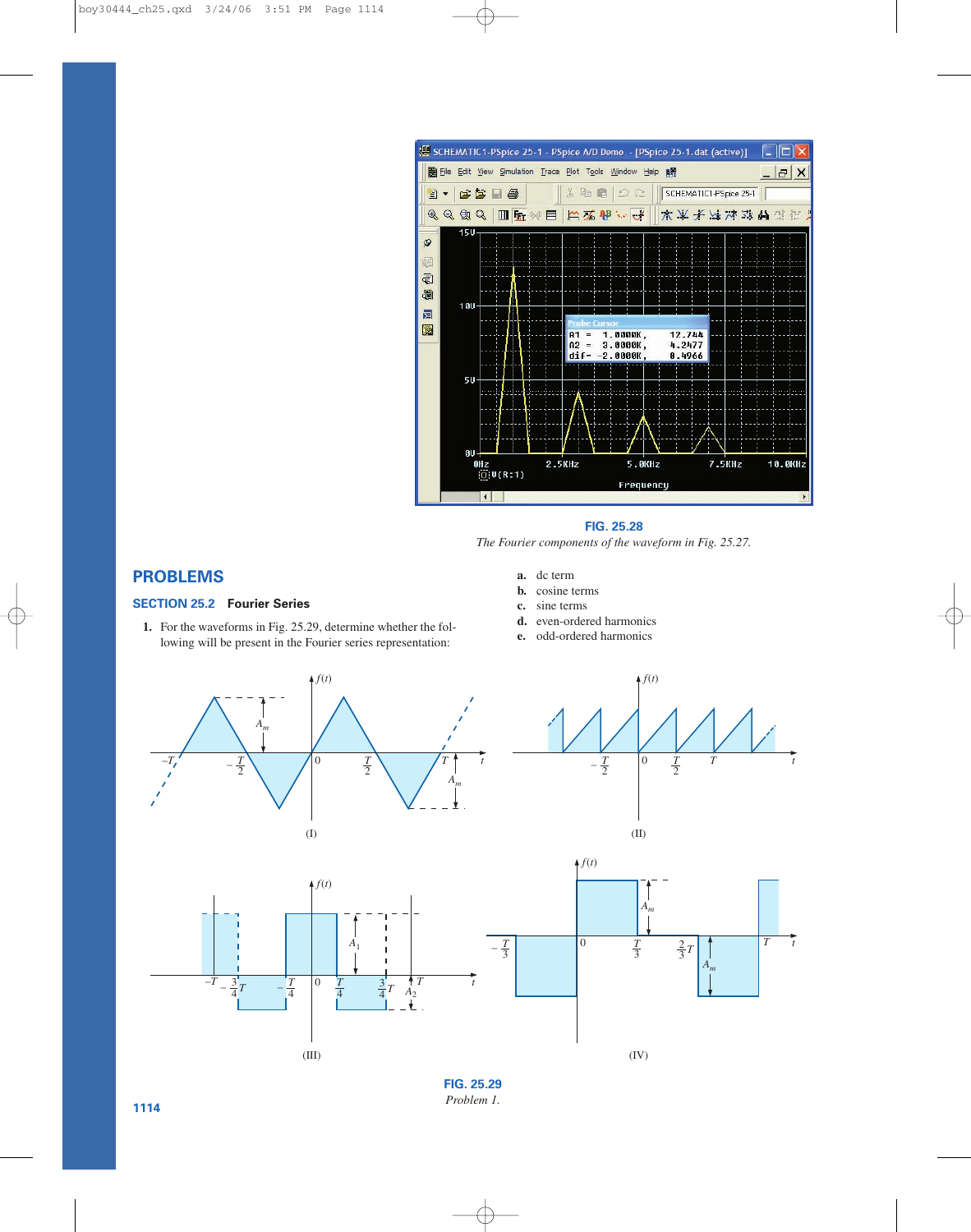

**FIG. 25.28**

*The Fourier components of the waveform in Fig. 25.27.*

## **PROBLEMS**

## **SECTION 25.2 Fourier Series**

- **1.** For the waveforms in Fig. 25.29, determine whether the following will be present in the Fourier series representation:
- **a.** dc term
- **b.** cosine terms
- **c.** sine terms
- **d.** even-ordered harmonics
- **e.** odd-ordered harmonics



**FIG. 25.29** *Problem 1.*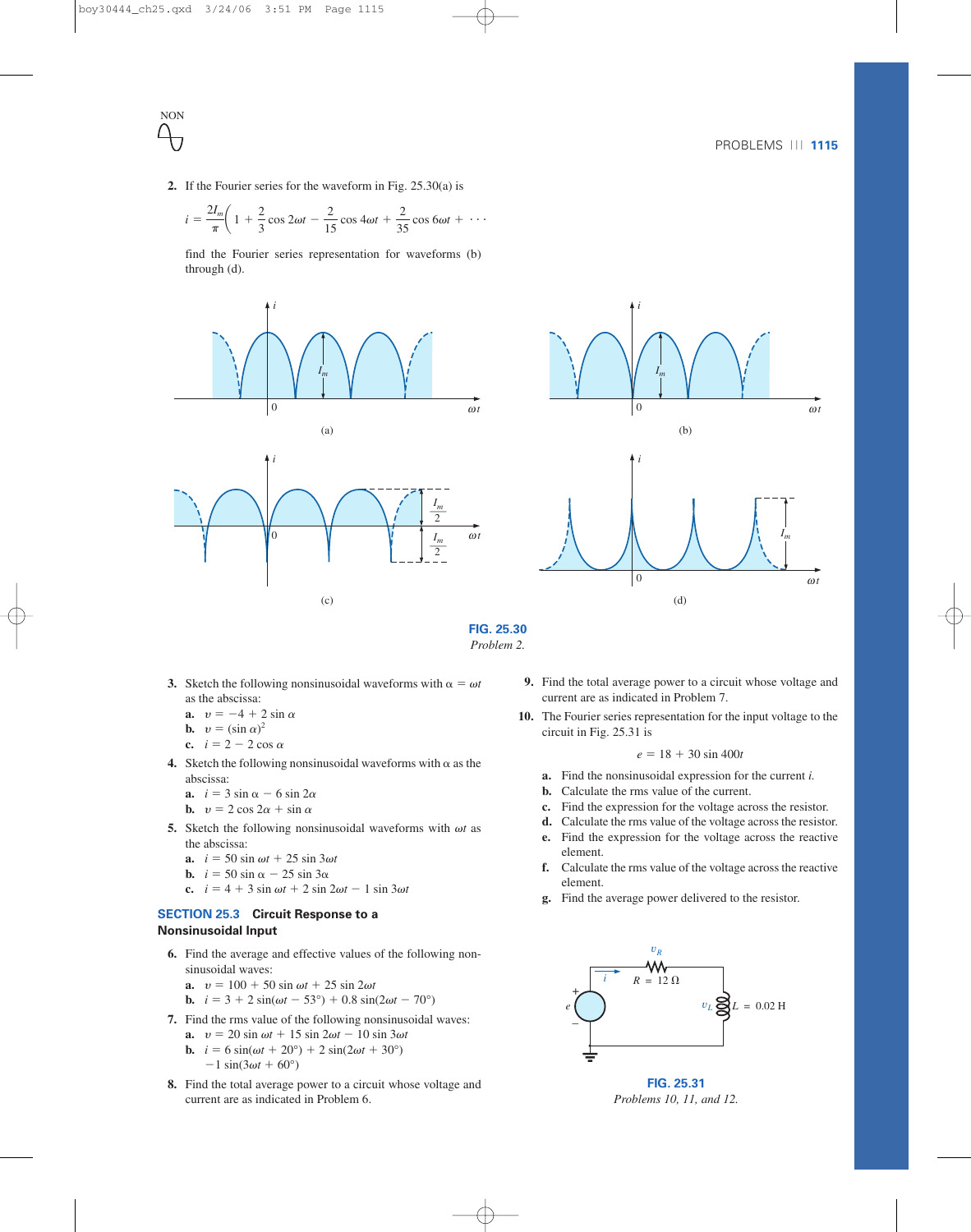**2.** If the Fourier series for the waveform in Fig. 25.30(a) is

$$
i = \frac{2I_m}{\pi} \bigg( 1 + \frac{2}{3} \cos 2\omega t - \frac{2}{15} \cos 4\omega t + \frac{2}{35} \cos 6\omega t + \cdots \bigg)
$$

find the Fourier series representation for waveforms (b) through (d).





**FIG. 25.30** *Problem 2.*

- **3.** Sketch the following nonsinusoidal waveforms with  $\alpha = \omega t$ as the abscissa:
	- **a.**  $v = -4 + 2 \sin \alpha$
	- **b.**  $v = (\sin \alpha)^2$
	- **c.**  $i = 2 2 \cos \alpha$
- **4.** Sketch the following nonsinusoidal waveforms with  $\alpha$  as the abscissa:
	- **a.**  $i = 3 \sin \alpha 6 \sin 2\alpha$
	- **b.**  $v = 2 \cos 2\alpha + \sin \alpha$
- **5.** Sketch the following nonsinusoidal waveforms with  $\omega t$  as the abscissa:
	- **a.**  $i = 50 \sin \omega t + 25 \sin 3\omega t$
	- **b.**  $i = 50 \sin \alpha 25 \sin 3\alpha$
	- **c.**  $i = 4 + 3 \sin \omega t + 2 \sin 2\omega t 1 \sin 3\omega t$

#### **SECTION 25.3 Circuit Response to a Nonsinusoidal Input**

- **6.** Find the average and effective values of the following nonsinusoidal waves:
	- **a.**  $v = 100 + 50 \sin \omega t + 25 \sin 2\omega t$
	- **b.**  $i = 3 + 2 \sin(\omega t 53^{\circ}) + 0.8 \sin(2\omega t 70^{\circ})$
- **7.** Find the rms value of the following nonsinusoidal waves: **a.**  $v = 20 \sin \omega t + 15 \sin 2\omega t - 10 \sin 3\omega t$ 
	- **b.**  $i = 6 \sin(\omega t + 20^{\circ}) + 2 \sin(2\omega t + 30^{\circ})$  $-1 \sin(3\omega t + 60^\circ)$
- **8.** Find the total average power to a circuit whose voltage and current are as indicated in Problem 6.
- **9.** Find the total average power to a circuit whose voltage and current are as indicated in Problem 7.
- **10.** The Fourier series representation for the input voltage to the circuit in Fig. 25.31 is

#### $e = 18 + 30 \sin 400t$

- **a.** Find the nonsinusoidal expression for the current *i.*
- **b.** Calculate the rms value of the current.
- **c.** Find the expression for the voltage across the resistor.
- **d.** Calculate the rms value of the voltage across the resistor.
- **e.** Find the expression for the voltage across the reactive element.
- **f.** Calculate the rms value of the voltage across the reactive element.
- **g.** Find the average power delivered to the resistor.



**FIG. 25.31** *Problems 10, 11, and 12.*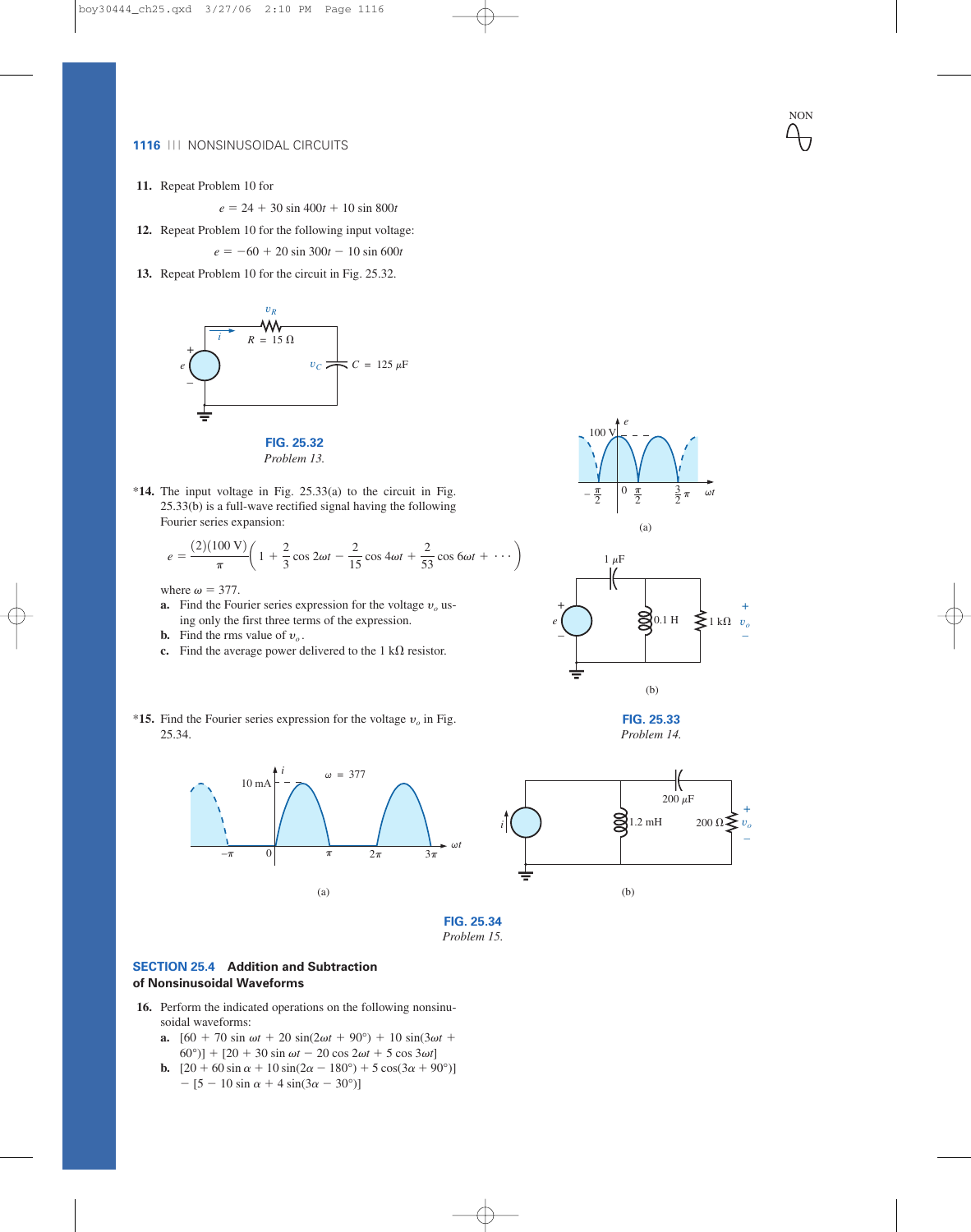

**11.** Repeat Problem 10 for

 $e = 24 + 30 \sin 400t + 10 \sin 800t$ 

**12.** Repeat Problem 10 for the following input voltage:

 $e = -60 + 20 \sin 300t - 10 \sin 600t$ 

**13.** Repeat Problem 10 for the circuit in Fig. 25.32.



**FIG. 25.32** *Problem 13.*

\***14.** The input voltage in Fig. 25.33(a) to the circuit in Fig. 25.33(b) is a full-wave rectified signal having the following Fourier series expansion:

$$
e = \frac{(2)(100 \text{ V})}{\pi} \bigg( 1 + \frac{2}{3} \cos 2\omega t - \frac{2}{15} \cos 4\omega t + \frac{2}{53} \cos 6\omega t + \cdots \bigg)
$$

where  $\omega = 377$ .

- **a.** Find the Fourier series expression for the voltage  $v<sub>o</sub>$  using only the first three terms of the expression.
- **b.** Find the rms value of  $v<sub>o</sub>$ .
- **c.** Find the average power delivered to the 1 k $\Omega$  resistor.





\***15.** Find the Fourier series expression for the voltage  $v<sub>o</sub>$  in Fig. 25.34.

**FIG. 25.33**

*Problem 14.*



*Problem 15.*

#### **SECTION 25.4 Addition and Subtraction of Nonsinusoidal Waveforms**

- **16.** Perform the indicated operations on the following nonsinusoidal waveforms:
	- **a.**  $[60 + 70 \sin \omega t + 20 \sin(2\omega t + 90^\circ) + 10 \sin(3\omega t +$  $(60^{\circ})$ ] + [20 + 30 sin  $\omega t$  - 20 cos 2 $\omega t$  + 5 cos 3 $\omega t$ ]
	- **b.**  $[20 + 60 \sin \alpha + 10 \sin(2\alpha 180^\circ) + 5 \cos(3\alpha + 90^\circ)]$  $-[5 - 10 \sin \alpha + 4 \sin(3\alpha - 30^{\circ})]$